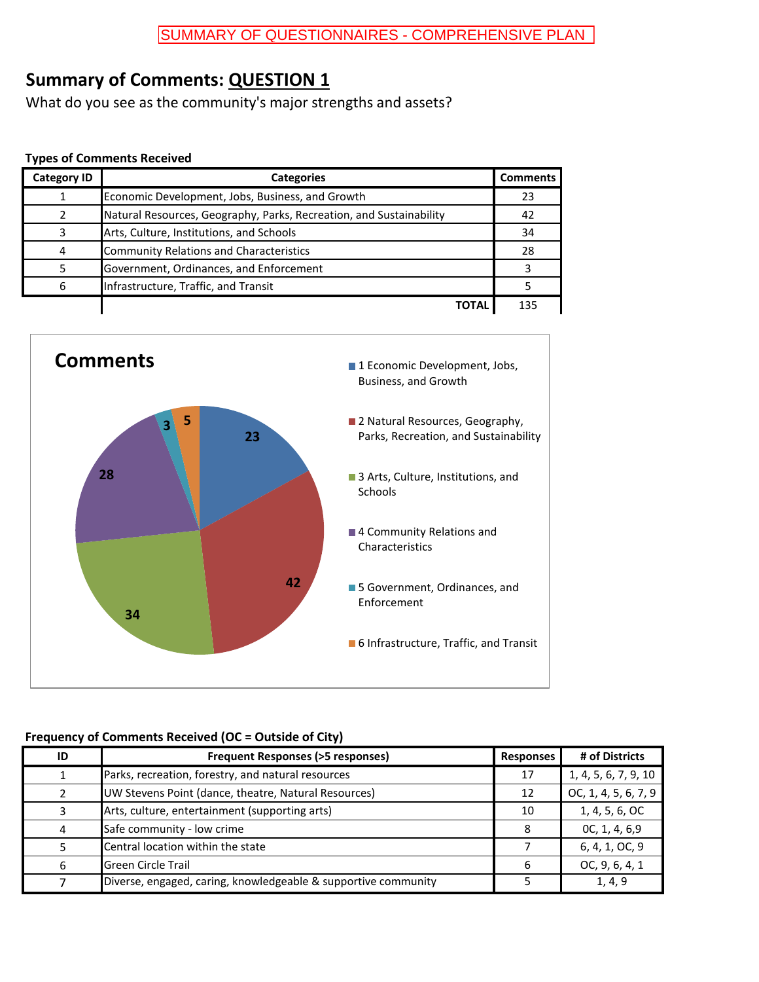What do you see as the community's major strengths and assets?

#### **Types of Comments Received**

| <b>Category ID</b> | <b>Categories</b>                                                   | <b>Comments</b> |
|--------------------|---------------------------------------------------------------------|-----------------|
|                    | Economic Development, Jobs, Business, and Growth                    | 23              |
|                    | Natural Resources, Geography, Parks, Recreation, and Sustainability | 42              |
|                    | Arts, Culture, Institutions, and Schools                            | 34              |
|                    | <b>Community Relations and Characteristics</b>                      | 28              |
|                    | Government, Ordinances, and Enforcement                             |                 |
| 6                  | Infrastructure, Traffic, and Transit                                |                 |
|                    | ΤΟΤΑΙ                                                               | 135             |



| ID | <b>Frequent Responses (&gt;5 responses)</b>                    | <b>Responses</b> | # of Districts       |
|----|----------------------------------------------------------------|------------------|----------------------|
|    | Parks, recreation, forestry, and natural resources             | 17               | 1, 4, 5, 6, 7, 9, 10 |
|    | UW Stevens Point (dance, theatre, Natural Resources)           | 12               | OC, 1, 4, 5, 6, 7, 9 |
|    | Arts, culture, entertainment (supporting arts)                 | 10               | 1, 4, 5, 6, OC       |
| 4  | Safe community - low crime                                     |                  | 0C, 1, 4, 6,9        |
|    | Central location within the state                              |                  | 6, 4, 1, OC, 9       |
| 6  | <b>Green Circle Trail</b>                                      | 6                | OC, 9, 6, 4, 1       |
|    | Diverse, engaged, caring, knowledgeable & supportive community |                  | 1, 4, 9              |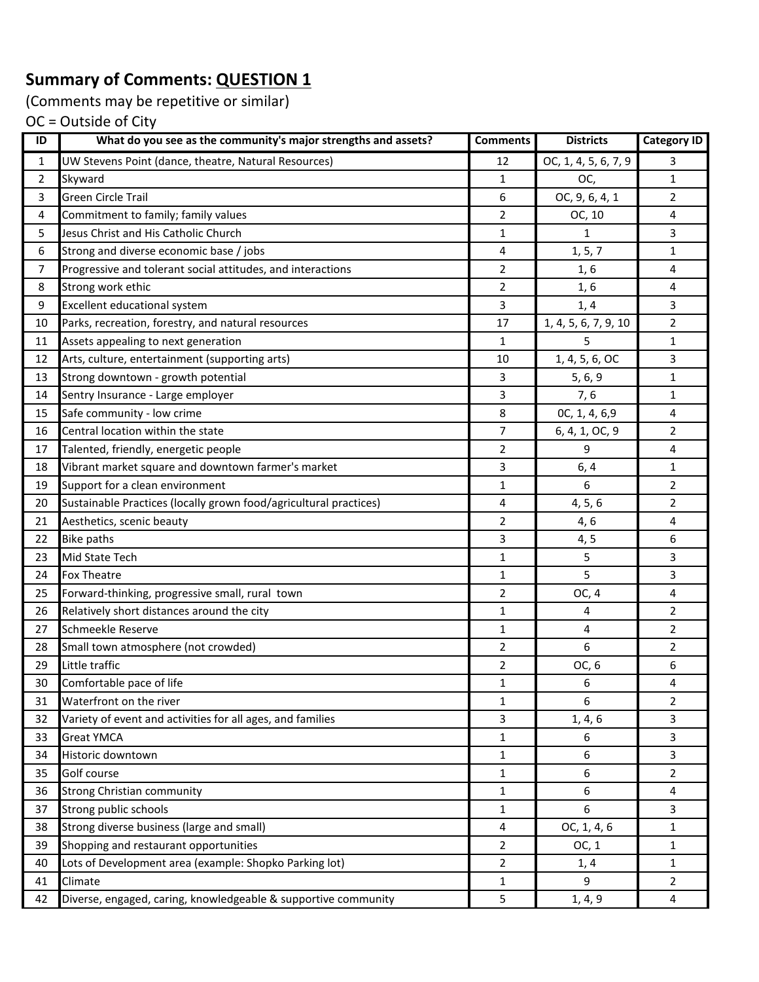(Comments may be repetitive or similar)

| ID             | What do you see as the community's major strengths and assets?    | <b>Comments</b> | <b>Districts</b>     | <b>Category ID</b> |
|----------------|-------------------------------------------------------------------|-----------------|----------------------|--------------------|
| 1              | UW Stevens Point (dance, theatre, Natural Resources)              | 12              | OC, 1, 4, 5, 6, 7, 9 | 3                  |
| $\overline{2}$ | Skyward                                                           | 1               | OC,                  | $\mathbf{1}$       |
| 3              | <b>Green Circle Trail</b>                                         | 6               | OC, 9, 6, 4, 1       | $\overline{2}$     |
| 4              | Commitment to family; family values                               | $\overline{2}$  | OC, 10               | 4                  |
| 5              | Jesus Christ and His Catholic Church                              | 1               | $\mathbf{1}$         | $\overline{3}$     |
| 6              | Strong and diverse economic base / jobs                           | 4               | 1, 5, 7              | 1                  |
| 7              | Progressive and tolerant social attitudes, and interactions       | 2               | 1, 6                 | 4                  |
| 8              | Strong work ethic                                                 | 2               | 1,6                  | 4                  |
| 9              | <b>Excellent educational system</b>                               | 3               | 1, 4                 | 3                  |
| 10             | Parks, recreation, forestry, and natural resources                | 17              | 1, 4, 5, 6, 7, 9, 10 | $\overline{2}$     |
| 11             | Assets appealing to next generation                               | 1               | 5                    | $\mathbf{1}$       |
| 12             | Arts, culture, entertainment (supporting arts)                    | 10              | 1, 4, 5, 6, OC       | 3                  |
| 13             | Strong downtown - growth potential                                | 3               | 5, 6, 9              | 1                  |
| 14             | Sentry Insurance - Large employer                                 | 3               | 7,6                  | $\mathbf{1}$       |
| 15             | Safe community - low crime                                        | 8               | OC, 1, 4, 6,9        | 4                  |
| 16             | Central location within the state                                 | 7               | 6, 4, 1, OC, 9       | $\overline{2}$     |
| 17             | Talented, friendly, energetic people                              | 2               | 9                    | 4                  |
| 18             | Vibrant market square and downtown farmer's market                | 3               | 6, 4                 | $\mathbf{1}$       |
| 19             | Support for a clean environment                                   | 1               | 6                    | $\overline{2}$     |
| 20             | Sustainable Practices (locally grown food/agricultural practices) | 4               | 4, 5, 6              | $\overline{2}$     |
| 21             | Aesthetics, scenic beauty                                         | 2               | 4, 6                 | 4                  |
| 22             | <b>Bike paths</b>                                                 | 3               | 4, 5                 | 6                  |
| 23             | Mid State Tech                                                    | $\mathbf{1}$    | 5                    | 3                  |
| 24             | <b>Fox Theatre</b>                                                | 1               | 5                    | $\overline{3}$     |
| 25             | Forward-thinking, progressive small, rural town                   | 2               | OC, 4                | $\overline{4}$     |
| 26             | Relatively short distances around the city                        | 1               | 4                    | $\overline{2}$     |
| 27             | Schmeekle Reserve                                                 | 1               | 4                    | $\overline{2}$     |
| 28             | Small town atmosphere (not crowded)                               | 2               | 6                    | 2                  |
| 29             | Little traffic                                                    | $\overline{2}$  | OC, 6                | 6                  |
| 30             | Comfortable pace of life                                          | 1               | 6                    | 4                  |
| 31             | Waterfront on the river                                           | 1               | 6                    | $\overline{2}$     |
| 32             | Variety of event and activities for all ages, and families        | 3               | 1, 4, 6              | 3                  |
| 33             | <b>Great YMCA</b>                                                 | 1               | 6                    | 3                  |
| 34             | Historic downtown                                                 | 1               | 6                    | $\overline{3}$     |
| 35             | Golf course                                                       | 1               | 6                    | $\overline{2}$     |
| 36             | <b>Strong Christian community</b>                                 | $\mathbf 1$     | 6                    | $\overline{4}$     |
| 37             | Strong public schools                                             | 1               | 6                    | $\mathbf{3}$       |
| 38             | Strong diverse business (large and small)                         | $\sqrt{4}$      | OC, 1, 4, 6          | 1                  |
| 39             | Shopping and restaurant opportunities                             | $\overline{2}$  | OC, 1                | $\mathbf{1}$       |
| 40             | Lots of Development area (example: Shopko Parking lot)            | 2               | 1, 4                 | $\mathbf{1}$       |
| 41             | Climate                                                           | 1               | 9                    | $\overline{2}$     |
| 42             | Diverse, engaged, caring, knowledgeable & supportive community    | 5               | 1, 4, 9              | 4                  |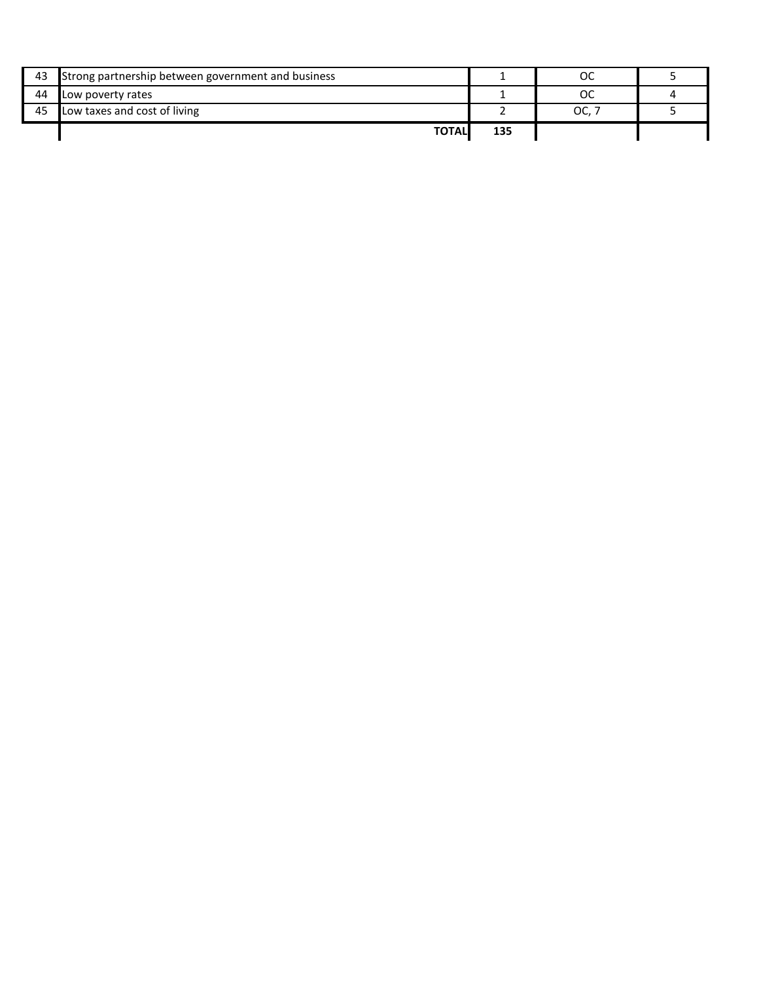| 43 | Strong partnership between government and business |     | ОC  |  |
|----|----------------------------------------------------|-----|-----|--|
| 44 | Low poverty rates                                  |     | ос  |  |
| 45 | Low taxes and cost of living                       |     | OC. |  |
|    | <b>TOTAL</b>                                       | 135 |     |  |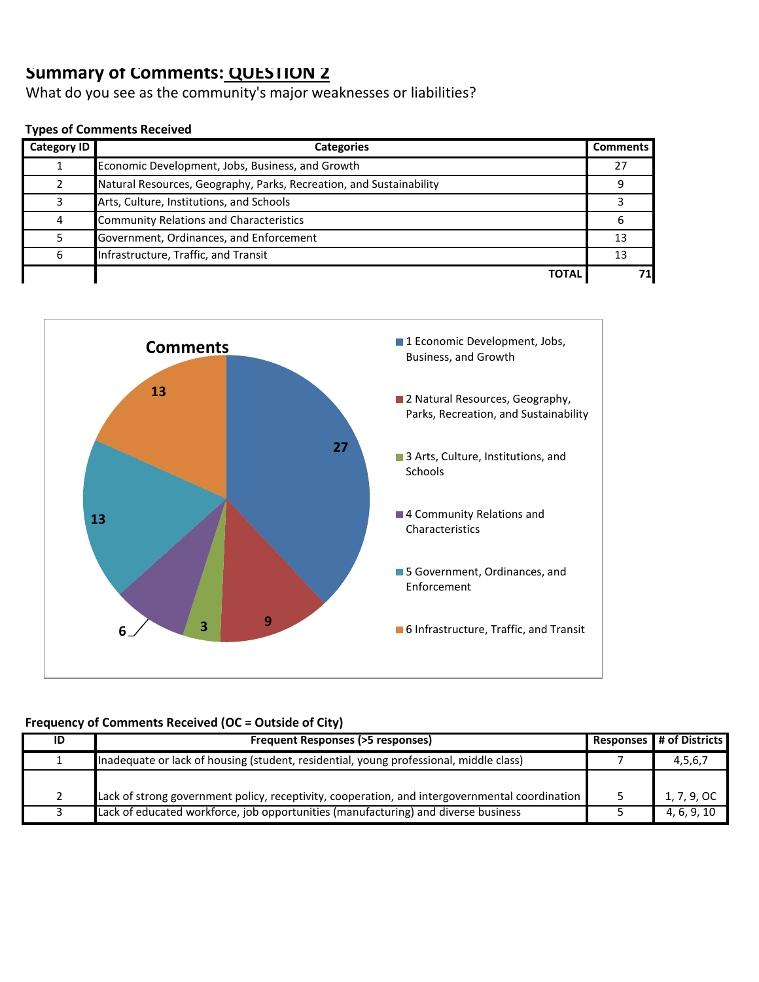What do you see as the community's major weaknesses or liabilities?

#### **Types of Comments Received**

| Category ID | <b>Categories</b>                                                   | <b>Comments</b> |
|-------------|---------------------------------------------------------------------|-----------------|
|             | Economic Development, Jobs, Business, and Growth                    | 27              |
|             | Natural Resources, Geography, Parks, Recreation, and Sustainability |                 |
| ς           | Arts, Culture, Institutions, and Schools                            |                 |
| 4           | <b>Community Relations and Characteristics</b>                      | h               |
|             | Government, Ordinances, and Enforcement                             | 13              |
| 6           | Infrastructure, Traffic, and Transit                                | -13             |
|             | <b>TOTAL</b>                                                        |                 |



| ID | Frequent Responses (>5 responses)                                                              | Responses # of Districts |
|----|------------------------------------------------------------------------------------------------|--------------------------|
|    | Inadequate or lack of housing (student, residential, young professional, middle class)         | 4,5,6,7                  |
|    |                                                                                                |                          |
|    | Lack of strong government policy, receptivity, cooperation, and intergovernmental coordination | 1, 7, 9, OC              |
|    | Lack of educated workforce, job opportunities (manufacturing) and diverse business             | 4, 6, 9, 10              |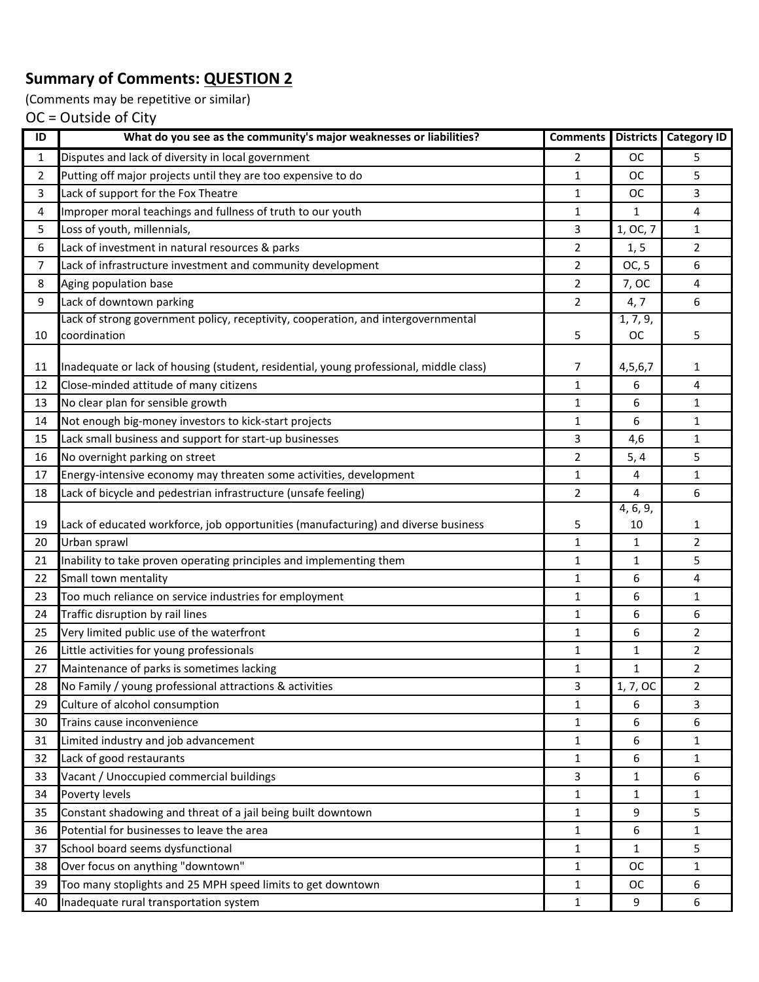(Comments may be repetitive or similar)

| ID | What do you see as the community's major weaknesses or liabilities?                    | <b>Comments</b> | <b>Districts</b> | <b>Category ID</b> |
|----|----------------------------------------------------------------------------------------|-----------------|------------------|--------------------|
| 1  | Disputes and lack of diversity in local government                                     | $\overline{2}$  | ОC               | 5                  |
| 2  | Putting off major projects until they are too expensive to do                          | $\mathbf{1}$    | ОC               | 5                  |
| 3  | Lack of support for the Fox Theatre                                                    | $\mathbf{1}$    | <b>OC</b>        | 3                  |
| 4  | Improper moral teachings and fullness of truth to our youth                            | 1               | 1                | 4                  |
| 5  | Loss of youth, millennials,                                                            | 3               | 1, OC, 7         | $\mathbf{1}$       |
| 6  | Lack of investment in natural resources & parks                                        | 2               | 1, 5             | $\overline{2}$     |
| 7  | Lack of infrastructure investment and community development                            | 2               | OC, 5            | 6                  |
| 8  | Aging population base                                                                  | $\overline{2}$  | 7, OC            | 4                  |
| 9  | Lack of downtown parking                                                               | $\overline{2}$  | 4, 7             | 6                  |
|    | Lack of strong government policy, receptivity, cooperation, and intergovernmental      |                 | 1, 7, 9,         |                    |
| 10 | coordination                                                                           | 5               | <b>OC</b>        | 5                  |
|    |                                                                                        |                 |                  |                    |
| 11 | Inadequate or lack of housing (student, residential, young professional, middle class) | 7               | 4,5,6,7          | 1                  |
| 12 | Close-minded attitude of many citizens                                                 | $\mathbf{1}$    | 6                | 4                  |
| 13 | No clear plan for sensible growth                                                      | $\mathbf{1}$    | 6                | 1                  |
| 14 | Not enough big-money investors to kick-start projects                                  | $\mathbf{1}$    | 6                | $\mathbf{1}$       |
| 15 | Lack small business and support for start-up businesses                                | 3               | 4,6              | $\mathbf{1}$       |
| 16 | No overnight parking on street                                                         | 2               | 5, 4             | 5                  |
| 17 | Energy-intensive economy may threaten some activities, development                     | 1               | 4                | 1                  |
| 18 | Lack of bicycle and pedestrian infrastructure (unsafe feeling)                         | $\overline{2}$  | 4<br>4, 6, 9,    | 6                  |
| 19 | Lack of educated workforce, job opportunities (manufacturing) and diverse business     | 5               | 10               | 1                  |
| 20 | Urban sprawl                                                                           | 1               | 1                | $\overline{2}$     |
| 21 | Inability to take proven operating principles and implementing them                    | $\mathbf{1}$    | 1                | 5                  |
| 22 | Small town mentality                                                                   | $\mathbf{1}$    | 6                | 4                  |
| 23 | Too much reliance on service industries for employment                                 | $\mathbf{1}$    | 6                | $\mathbf{1}$       |
| 24 | Traffic disruption by rail lines                                                       | 1               | 6                | 6                  |
| 25 | Very limited public use of the waterfront                                              | $\mathbf{1}$    | 6                | $\overline{2}$     |
| 26 | Little activities for young professionals                                              | 1               | 1                | $\overline{2}$     |
| 27 | Maintenance of parks is sometimes lacking                                              | 1               | 1                | $\overline{2}$     |
| 28 | No Family / young professional attractions & activities                                | 3               | 1, 7, OC         | 2                  |
| 29 | Culture of alcohol consumption                                                         | 1               | 6                | 3                  |
| 30 | Trains cause inconvenience                                                             | $\mathbf{1}$    | 6                | 6                  |
| 31 | Limited industry and job advancement                                                   | 1               | 6                | $\mathbf{1}$       |
| 32 | Lack of good restaurants                                                               | $\mathbf{1}$    | 6                | $\mathbf{1}$       |
| 33 | Vacant / Unoccupied commercial buildings                                               | 3               | 1                | 6                  |
| 34 | Poverty levels                                                                         | $\mathbf{1}$    | 1                | $\mathbf{1}$       |
| 35 | Constant shadowing and threat of a jail being built downtown                           | $\mathbf{1}$    | 9                | 5                  |
| 36 | Potential for businesses to leave the area                                             | $\mathbf{1}$    | 6                | $\mathbf{1}$       |
| 37 | School board seems dysfunctional                                                       | $\mathbf{1}$    | 1                | 5                  |
| 38 | Over focus on anything "downtown"                                                      | $\mathbf{1}$    | ОC               | $\mathbf{1}$       |
| 39 | Too many stoplights and 25 MPH speed limits to get downtown                            | $\mathbf{1}$    | ОC               | 6                  |
| 40 | Inadequate rural transportation system                                                 | $\mathbf{1}$    | 9                | 6                  |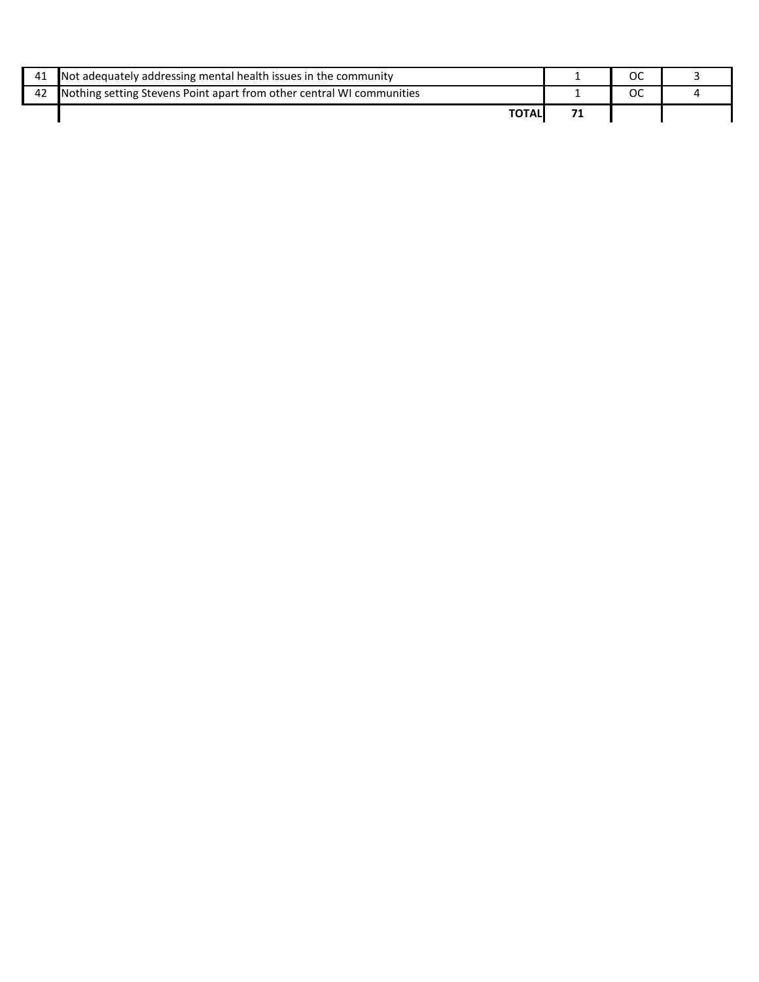| 41 | Not adequately addressing mental health issues in the community       |  |  |
|----|-----------------------------------------------------------------------|--|--|
| 42 | Nothing setting Stevens Point apart from other central WI communities |  |  |
|    |                                                                       |  |  |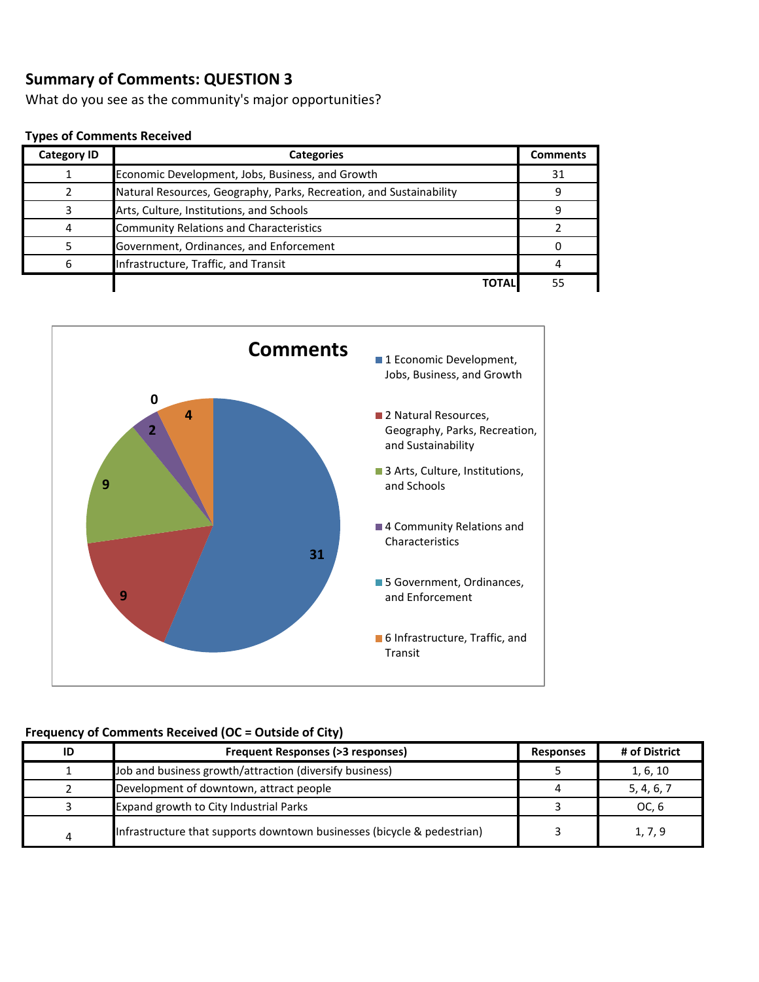What do you see as the community's major opportunities?

#### **Types of Comments Received**

| <b>Category ID</b> | <b>Categories</b>                                                   | <b>Comments</b> |
|--------------------|---------------------------------------------------------------------|-----------------|
|                    | Economic Development, Jobs, Business, and Growth                    | 31              |
|                    | Natural Resources, Geography, Parks, Recreation, and Sustainability |                 |
|                    | Arts, Culture, Institutions, and Schools                            |                 |
|                    | <b>Community Relations and Characteristics</b>                      |                 |
|                    | Government, Ordinances, and Enforcement                             |                 |
|                    | Infrastructure, Traffic, and Transit                                |                 |
|                    |                                                                     |                 |



| ID | Frequent Responses (>3 responses)                                       | <b>Responses</b> | # of District |
|----|-------------------------------------------------------------------------|------------------|---------------|
|    | Job and business growth/attraction (diversify business)                 |                  | 1, 6, 10      |
|    | Development of downtown, attract people                                 |                  | 5, 4, 6, 7    |
|    | Expand growth to City Industrial Parks                                  |                  | OC, 6         |
| 4  | Infrastructure that supports downtown businesses (bicycle & pedestrian) |                  | 1, 7, 9       |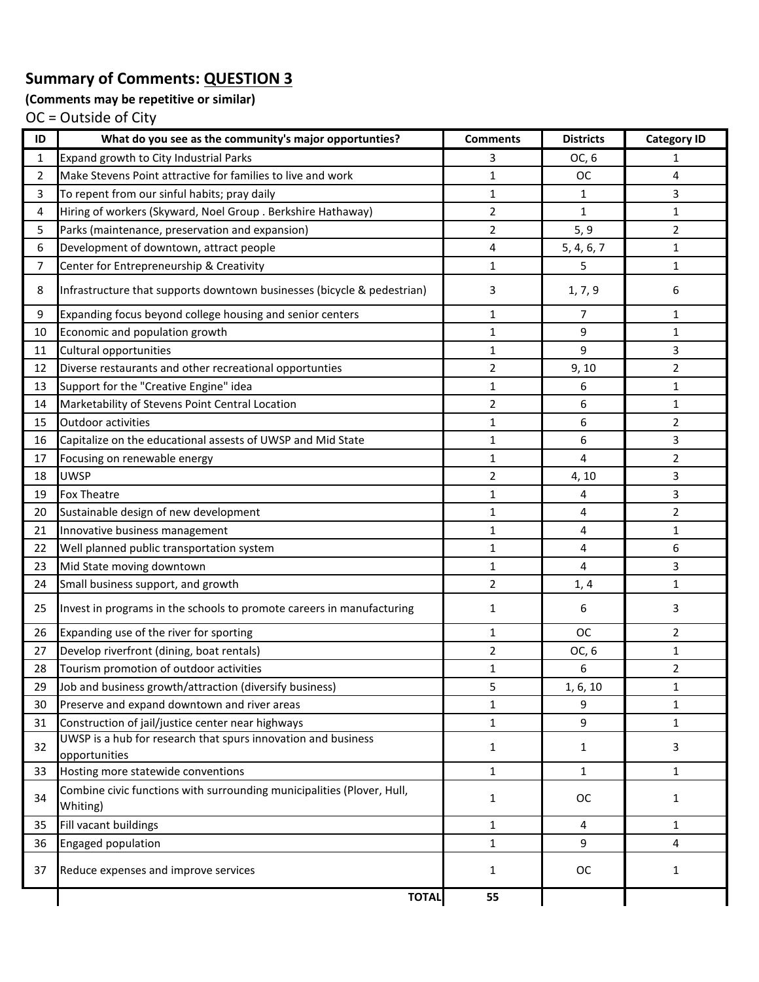### **(Comments may be repetitive or similar)**

| ID             | What do you see as the community's major opportunties?                             | <b>Comments</b> | <b>Districts</b> | <b>Category ID</b> |
|----------------|------------------------------------------------------------------------------------|-----------------|------------------|--------------------|
| 1              | Expand growth to City Industrial Parks                                             | 3               | OC, 6            | 1                  |
| 2              | Make Stevens Point attractive for families to live and work                        | $\mathbf{1}$    | <b>OC</b>        | 4                  |
| 3              | To repent from our sinful habits; pray daily                                       | $\mathbf{1}$    | 1                | 3                  |
| 4              | Hiring of workers (Skyward, Noel Group . Berkshire Hathaway)                       | $\overline{2}$  | $\mathbf{1}$     | $\mathbf 1$        |
| 5              | Parks (maintenance, preservation and expansion)                                    | $\overline{2}$  | 5, 9             | $\overline{2}$     |
| 6              | Development of downtown, attract people                                            | 4               | 5, 4, 6, 7       | $\mathbf{1}$       |
| $\overline{7}$ | Center for Entrepreneurship & Creativity                                           | $\mathbf{1}$    | 5                | $\mathbf{1}$       |
| 8              | Infrastructure that supports downtown businesses (bicycle & pedestrian)            | 3               | 1, 7, 9          | 6                  |
| 9              | Expanding focus beyond college housing and senior centers                          | $\mathbf{1}$    | 7                | 1                  |
| 10             | Economic and population growth                                                     | $\mathbf{1}$    | 9                | 1                  |
| 11             | Cultural opportunities                                                             | $\mathbf{1}$    | 9                | 3                  |
| 12             | Diverse restaurants and other recreational opportunties                            | $\overline{2}$  | 9, 10            | $\overline{2}$     |
| 13             | Support for the "Creative Engine" idea                                             | $\mathbf{1}$    | 6                | $\mathbf 1$        |
| 14             | Marketability of Stevens Point Central Location                                    | $\overline{2}$  | 6                | 1                  |
| 15             | Outdoor activities                                                                 | $\mathbf{1}$    | 6                | $\overline{2}$     |
| 16             | Capitalize on the educational assests of UWSP and Mid State                        | $\mathbf{1}$    | 6                | 3                  |
| 17             | Focusing on renewable energy                                                       | $\mathbf{1}$    | 4                | $\overline{2}$     |
| 18             | <b>UWSP</b>                                                                        | $\overline{2}$  | 4, 10            | 3                  |
| 19             | <b>Fox Theatre</b>                                                                 | $\mathbf{1}$    | 4                | 3                  |
| 20             | Sustainable design of new development                                              | $\mathbf{1}$    | 4                | $\overline{2}$     |
| 21             | Innovative business management                                                     | $\mathbf{1}$    | 4                | $\mathbf 1$        |
| 22             | Well planned public transportation system                                          | $\mathbf{1}$    | 4                | 6                  |
| 23             | Mid State moving downtown                                                          | $\mathbf{1}$    | 4                | 3                  |
| 24             | Small business support, and growth                                                 | $\overline{2}$  | 1, 4             | 1                  |
| 25             | Invest in programs in the schools to promote careers in manufacturing              | 1               | 6                | 3                  |
| 26             | Expanding use of the river for sporting                                            | $\mathbf{1}$    | <b>OC</b>        | 2                  |
| 27             | Develop riverfront (dining, boat rentals)                                          | $\overline{2}$  | OC, 6            | 1                  |
| 28             | Tourism promotion of outdoor activities                                            | $\mathbf{1}$    | 6                | $\overline{2}$     |
| 29             | Job and business growth/attraction (diversify business)                            | 5               | 1, 6, 10         | 1                  |
| 30             | Preserve and expand downtown and river areas                                       | $\mathbf{1}$    | 9                | $\mathbf 1$        |
| 31             | Construction of jail/justice center near highways                                  | $\mathbf{1}$    | 9                | $\mathbf{1}$       |
| 32             | UWSP is a hub for research that spurs innovation and business<br>opportunities     | $\mathbf{1}$    | $\mathbf{1}$     | 3                  |
| 33             | Hosting more statewide conventions                                                 | $\mathbf{1}$    | $\mathbf{1}$     | $\mathbf{1}$       |
| 34             | Combine civic functions with surrounding municipalities (Plover, Hull,<br>Whiting) | $\mathbf{1}$    | <b>OC</b>        | $\mathbf{1}$       |
| 35             | Fill vacant buildings                                                              | $\mathbf{1}$    | 4                | 1                  |
| 36             | Engaged population                                                                 | $\mathbf{1}$    | 9                | 4                  |
| 37             | Reduce expenses and improve services                                               | $\mathbf{1}$    | ОC               | $\mathbf{1}$       |
|                | <b>TOTAL</b>                                                                       | 55              |                  |                    |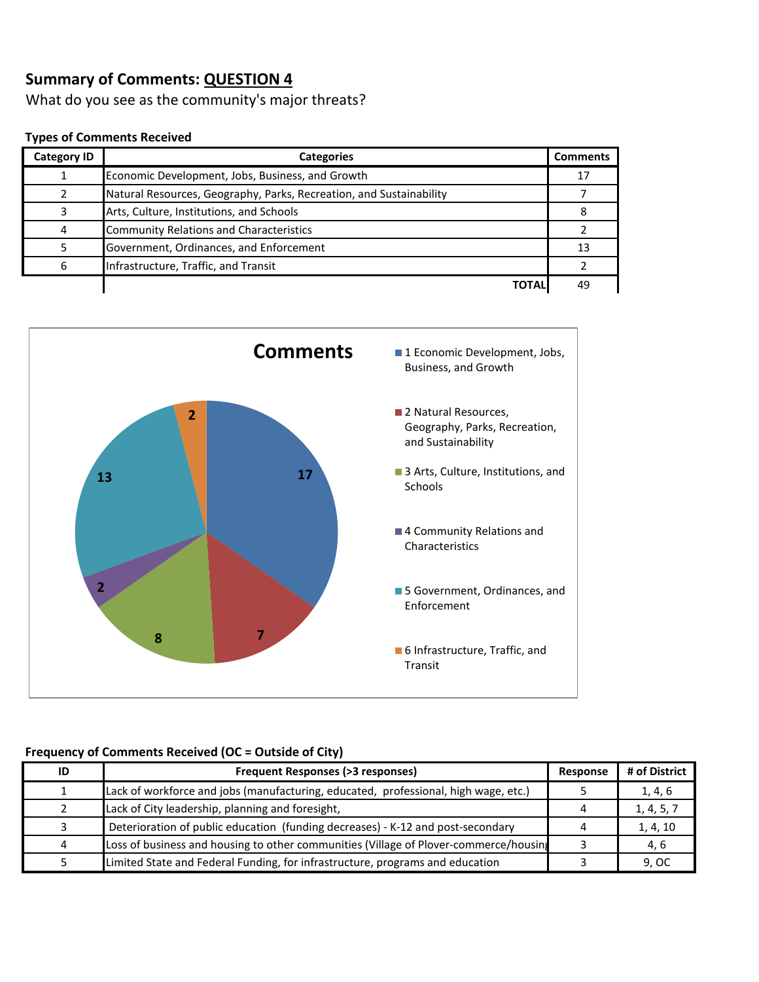What do you see as the community's major threats?

#### **Types of Comments Received**

| <b>Category ID</b> | <b>Categories</b>                                                   | <b>Comments</b> |
|--------------------|---------------------------------------------------------------------|-----------------|
|                    | Economic Development, Jobs, Business, and Growth                    | 17              |
|                    | Natural Resources, Geography, Parks, Recreation, and Sustainability |                 |
|                    | Arts, Culture, Institutions, and Schools                            |                 |
|                    | <b>Community Relations and Characteristics</b>                      |                 |
|                    | Government, Ordinances, and Enforcement                             | 13              |
|                    | Infrastructure, Traffic, and Transit                                |                 |
|                    | TOTAL                                                               | 49              |



| ID | <b>Frequent Responses (&gt;3 responses)</b>                                           |  | # of District |
|----|---------------------------------------------------------------------------------------|--|---------------|
|    | Lack of workforce and jobs (manufacturing, educated, professional, high wage, etc.)   |  | 1, 4, 6       |
|    | Lack of City leadership, planning and foresight,                                      |  | 1, 4, 5, 7    |
|    | Deterioration of public education (funding decreases) - K-12 and post-secondary       |  | 1, 4, 10      |
| 4  | Loss of business and housing to other communities (Village of Plover-commerce/housing |  | 4, 6          |
|    | Limited State and Federal Funding, for infrastructure, programs and education         |  | 9, OC         |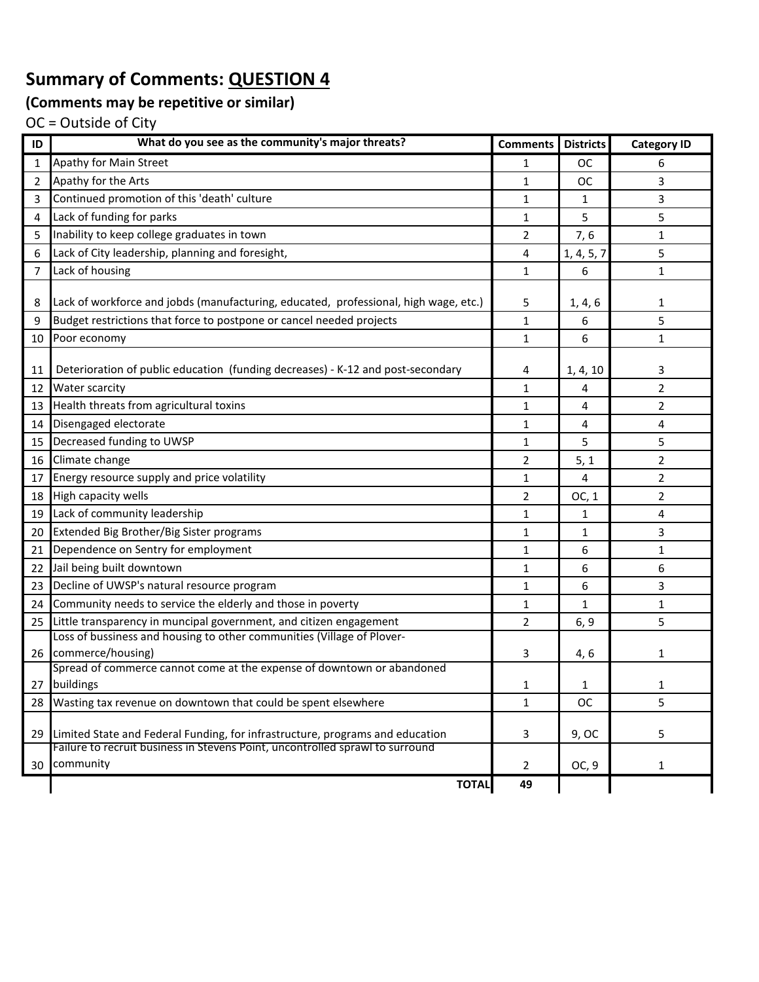# **(Comments may be repetitive or similar)**

| ID              | What do you see as the community's major threats?                                    | <b>Comments</b> | <b>Districts</b> | <b>Category ID</b> |
|-----------------|--------------------------------------------------------------------------------------|-----------------|------------------|--------------------|
| $\mathbf{1}$    | Apathy for Main Street                                                               | 1               | <b>OC</b>        | 6                  |
| 2               | Apathy for the Arts                                                                  | 1               | <b>OC</b>        | 3                  |
| 3               | Continued promotion of this 'death' culture                                          | 1               | 1                | 3                  |
| 4               | Lack of funding for parks                                                            | 1               | 5                | 5                  |
| 5               | Inability to keep college graduates in town                                          | 2               | 7, 6             | 1                  |
| 6               | Lack of City leadership, planning and foresight,                                     | 4               | 1, 4, 5, 7       | 5                  |
| $\overline{7}$  | Lack of housing                                                                      | $\mathbf{1}$    | 6                | 1                  |
|                 |                                                                                      |                 |                  |                    |
| 8               | Lack of workforce and jobds (manufacturing, educated, professional, high wage, etc.) | 5               | 1, 4, 6          | 1                  |
| 9               | Budget restrictions that force to postpone or cancel needed projects                 | $\mathbf{1}$    | 6                | 5                  |
| 10              | Poor economy                                                                         | 1               | 6                | $\mathbf{1}$       |
| 11              | Deterioration of public education (funding decreases) - K-12 and post-secondary      | 4               | 1, 4, 10         | 3                  |
| 12              | Water scarcity                                                                       | $\mathbf{1}$    | 4                | 2                  |
|                 | 13 Health threats from agricultural toxins                                           | 1               | 4                | $\overline{2}$     |
| 14 <sup>1</sup> | Disengaged electorate                                                                | 1               | 4                | 4                  |
|                 | 15 Decreased funding to UWSP                                                         | 1               | 5                | 5                  |
|                 | 16 Climate change                                                                    | 2               | 5, 1             | $\overline{2}$     |
| 17              | Energy resource supply and price volatility                                          | 1               | 4                | $\overline{2}$     |
|                 | 18 High capacity wells                                                               | $\overline{2}$  | OC, 1            | $\overline{2}$     |
| 19              | Lack of community leadership                                                         | $\mathbf{1}$    | 1                | 4                  |
|                 | 20 Extended Big Brother/Big Sister programs                                          | 1               | $\mathbf{1}$     | 3                  |
| 21              | Dependence on Sentry for employment                                                  | 1               | 6                | 1                  |
| 22              | Jail being built downtown                                                            | $\mathbf{1}$    | 6                | 6                  |
|                 | 23 Decline of UWSP's natural resource program                                        | 1               | 6                | 3                  |
|                 | 24 Community needs to service the elderly and those in poverty                       | 1               | 1                | 1                  |
|                 | 25 Little transparency in muncipal government, and citizen engagement                | 2               | 6, 9             | 5                  |
|                 | Loss of bussiness and housing to other communities (Village of Plover-               |                 |                  |                    |
| 26 <sup>1</sup> | commerce/housing)                                                                    | 3               | 4, 6             | 1                  |
|                 | Spread of commerce cannot come at the expense of downtown or abandoned               |                 |                  |                    |
|                 | 27 buildings                                                                         | 1               | 1                | 1                  |
| 28              | Wasting tax revenue on downtown that could be spent elsewhere                        | $\mathbf{1}$    | <b>OC</b>        | 5                  |
|                 | 29 Limited State and Federal Funding, for infrastructure, programs and education     | 3               | 9, OC            | 5                  |
|                 | Failure to recruit business in Stevens Point, uncontrolled sprawl to surround        |                 |                  |                    |
|                 | 30 community                                                                         | $\overline{2}$  | OC, 9            | 1                  |
|                 | <b>TOTAL</b>                                                                         | 49              |                  |                    |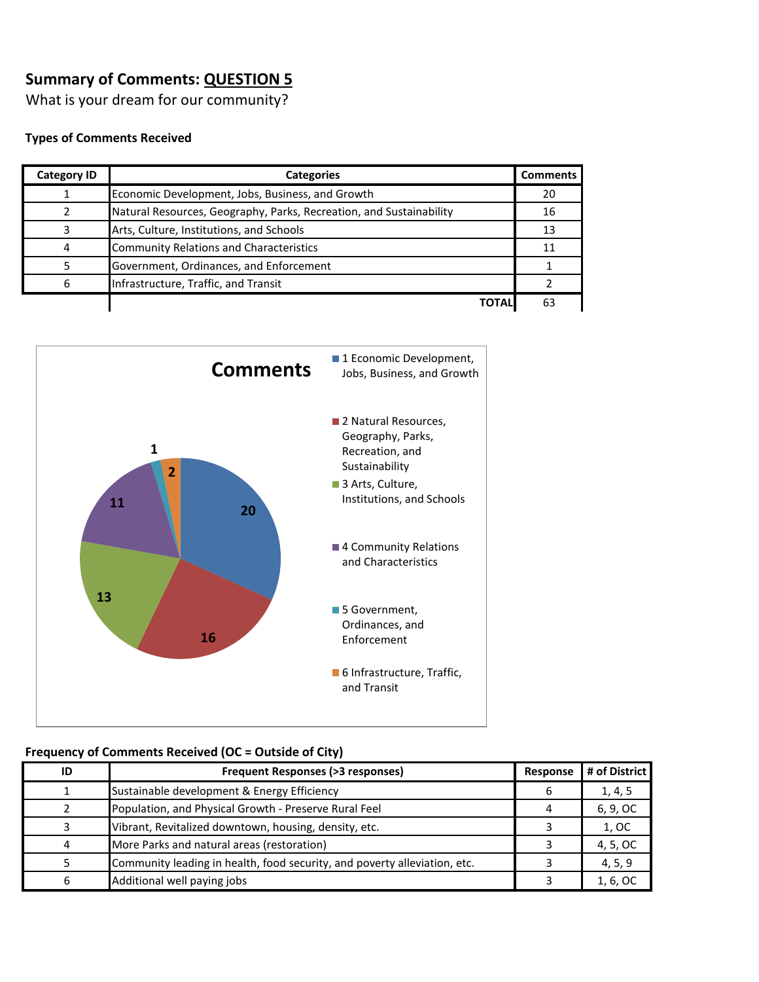What is your dream for our community?

#### **Types of Comments Received**

| <b>Category ID</b> | <b>Categories</b>                                                   | <b>Comments</b> |
|--------------------|---------------------------------------------------------------------|-----------------|
|                    | Economic Development, Jobs, Business, and Growth                    | 20              |
|                    | Natural Resources, Geography, Parks, Recreation, and Sustainability | 16              |
|                    | Arts, Culture, Institutions, and Schools                            | 13              |
| 4                  | <b>Community Relations and Characteristics</b>                      | 11              |
|                    | Government, Ordinances, and Enforcement                             |                 |
| 6                  | Infrastructure, Traffic, and Transit                                |                 |
|                    | <b>TOTAL</b>                                                        | 63              |



| ID | <b>Frequent Responses (&gt;3 responses)</b>                               | Response | # of District |
|----|---------------------------------------------------------------------------|----------|---------------|
|    | Sustainable development & Energy Efficiency                               | b        | 1, 4, 5       |
|    | Population, and Physical Growth - Preserve Rural Feel                     |          | 6, 9, OC      |
|    | Vibrant, Revitalized downtown, housing, density, etc.                     |          | 1, OC         |
|    | More Parks and natural areas (restoration)                                |          | 4, 5, OC      |
|    | Community leading in health, food security, and poverty alleviation, etc. |          | 4, 5, 9       |
|    | Additional well paying jobs                                               |          | 1, 6, OC      |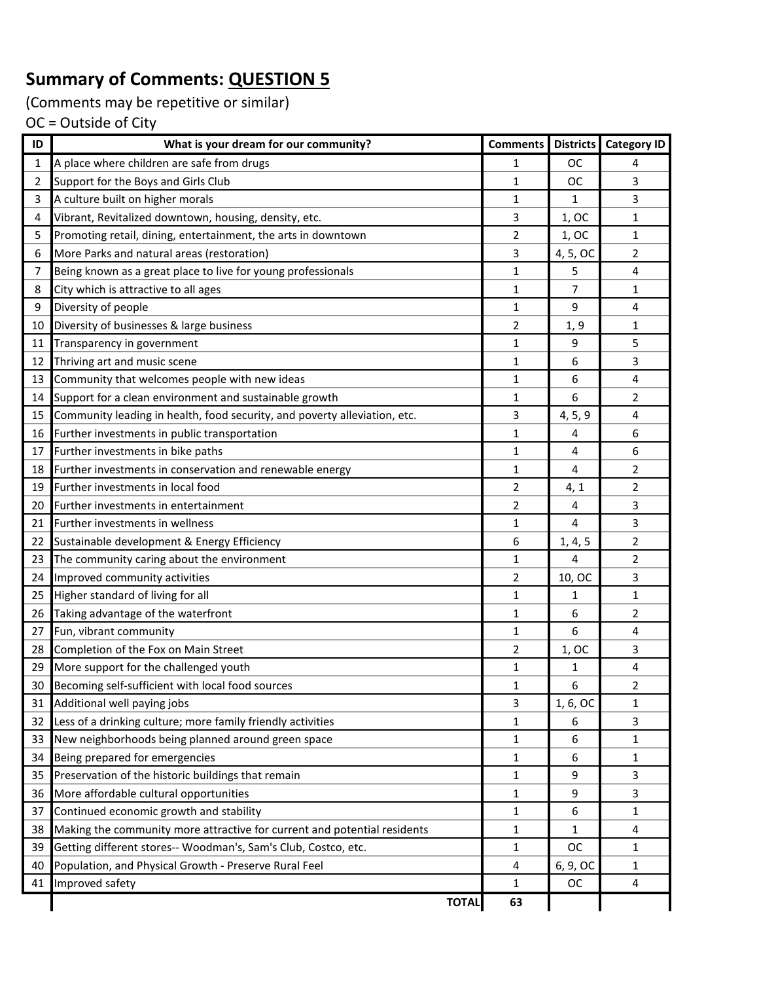(Comments may be repetitive or similar)

| ID             | What is your dream for our community?                                     | <b>Comments</b> |                | Districts   Category ID |
|----------------|---------------------------------------------------------------------------|-----------------|----------------|-------------------------|
| 1              | A place where children are safe from drugs                                | 1               | <b>OC</b>      | 4                       |
| $\overline{2}$ | Support for the Boys and Girls Club                                       | 1               | <b>OC</b>      | 3                       |
| 3              | A culture built on higher morals                                          | 1               | 1              | 3                       |
| 4              | Vibrant, Revitalized downtown, housing, density, etc.                     | 3               | 1, OC          | 1                       |
| 5              | Promoting retail, dining, entertainment, the arts in downtown             | 2               | 1, OC          | 1                       |
| 6              | More Parks and natural areas (restoration)                                | 3               | 4, 5, OC       | 2                       |
| 7              | Being known as a great place to live for young professionals              | 1               | 5              | 4                       |
| 8              | City which is attractive to all ages                                      | $\mathbf{1}$    | $\overline{7}$ | 1                       |
| 9              | Diversity of people                                                       | 1               | 9              | 4                       |
| 10             | Diversity of businesses & large business                                  | 2               | 1, 9           | 1                       |
| 11             | Transparency in government                                                | $\mathbf{1}$    | 9              | 5                       |
| 12             | Thriving art and music scene                                              | 1               | 6              | 3                       |
| 13             | Community that welcomes people with new ideas                             | 1               | 6              | 4                       |
| 14             | Support for a clean environment and sustainable growth                    | 1               | 6              | 2                       |
| 15             | Community leading in health, food security, and poverty alleviation, etc. | 3               | 4, 5, 9        | 4                       |
| 16             | Further investments in public transportation                              | 1               | 4              | 6                       |
| 17             | Further investments in bike paths                                         | $\mathbf{1}$    | 4              | 6                       |
| 18             | Further investments in conservation and renewable energy                  | $\mathbf{1}$    | 4              | 2                       |
| 19             | Further investments in local food                                         | 2               | 4, 1           | 2                       |
| 20             | Further investments in entertainment                                      | $\overline{2}$  | 4              | 3                       |
| 21             | Further investments in wellness                                           | 1               | 4              | 3                       |
| 22             | Sustainable development & Energy Efficiency                               | 6               | 1, 4, 5        | 2                       |
| 23             | The community caring about the environment                                | 1               | 4              | $\overline{2}$          |
| 24             | Improved community activities                                             | 2               | 10, OC         | 3                       |
| 25             | Higher standard of living for all                                         | 1               | 1              | 1                       |
| 26             | Taking advantage of the waterfront                                        | 1               | 6              | 2                       |
| 27             | Fun, vibrant community                                                    | $\mathbf{1}$    | 6              | 4                       |
| 28             | Completion of the Fox on Main Street                                      | 2               | 1, OC          | 3                       |
| 29             | More support for the challenged youth                                     | 1               | 1              | 4                       |
| 30             | Becoming self-sufficient with local food sources                          | $\mathbf{1}$    | 6              | $\overline{2}$          |
| 31             | Additional well paying jobs                                               | 3               | 1, 6, OC       | 1                       |
| 32             | Less of a drinking culture; more family friendly activities               | $\mathbf{1}$    | 6              | 3                       |
| 33             | New neighborhoods being planned around green space                        | 1               | 6              | 1                       |
| 34             | Being prepared for emergencies                                            | 1               | 6              | 1                       |
| 35             | Preservation of the historic buildings that remain                        | $\mathbf{1}$    | 9              | 3                       |
| 36             | More affordable cultural opportunities                                    | 1               | 9              | 3                       |
| 37             | Continued economic growth and stability                                   | $\mathbf{1}$    | 6              | 1                       |
| 38             | Making the community more attractive for current and potential residents  | 1               | 1              | 4                       |
| 39             | Getting different stores-- Woodman's, Sam's Club, Costco, etc.            | 1               | ОC             | 1                       |
| 40             | Population, and Physical Growth - Preserve Rural Feel                     | 4               | 6, 9, OC       | 1                       |
| 41             | Improved safety                                                           | $\mathbf{1}$    | OC             | 4                       |
|                | <b>TOTAL</b>                                                              | 63              |                |                         |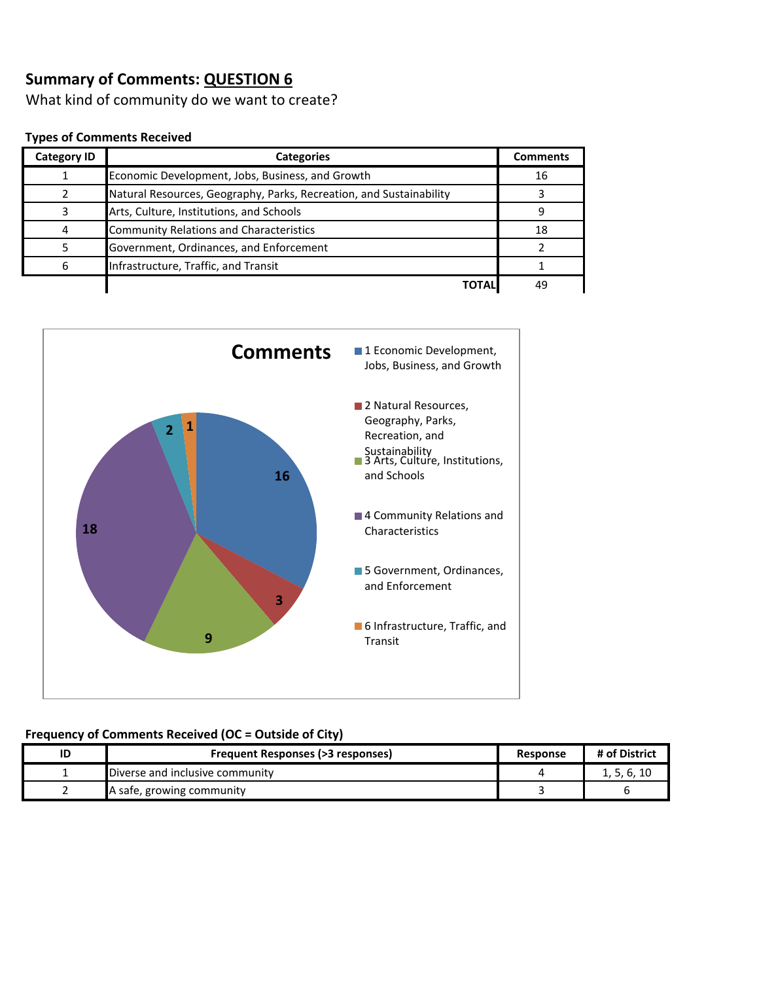What kind of community do we want to create?

#### **Types of Comments Received**

| <b>Category ID</b> | <b>Categories</b>                                                   | <b>Comments</b> |
|--------------------|---------------------------------------------------------------------|-----------------|
|                    | Economic Development, Jobs, Business, and Growth                    | 16              |
|                    | Natural Resources, Geography, Parks, Recreation, and Sustainability |                 |
|                    | Arts, Culture, Institutions, and Schools                            | 9               |
|                    | <b>Community Relations and Characteristics</b>                      | 18              |
|                    | Government, Ordinances, and Enforcement                             |                 |
|                    | Infrastructure, Traffic, and Transit                                |                 |
|                    | ΤΩΤΑΙ                                                               | 49              |



| ID | <b>Frequent Responses (&gt;3 responses)</b> | <b>Response</b> | # of District |
|----|---------------------------------------------|-----------------|---------------|
|    | Diverse and inclusive community             |                 | 1, 5, 6, 10   |
|    | A safe, growing community                   |                 |               |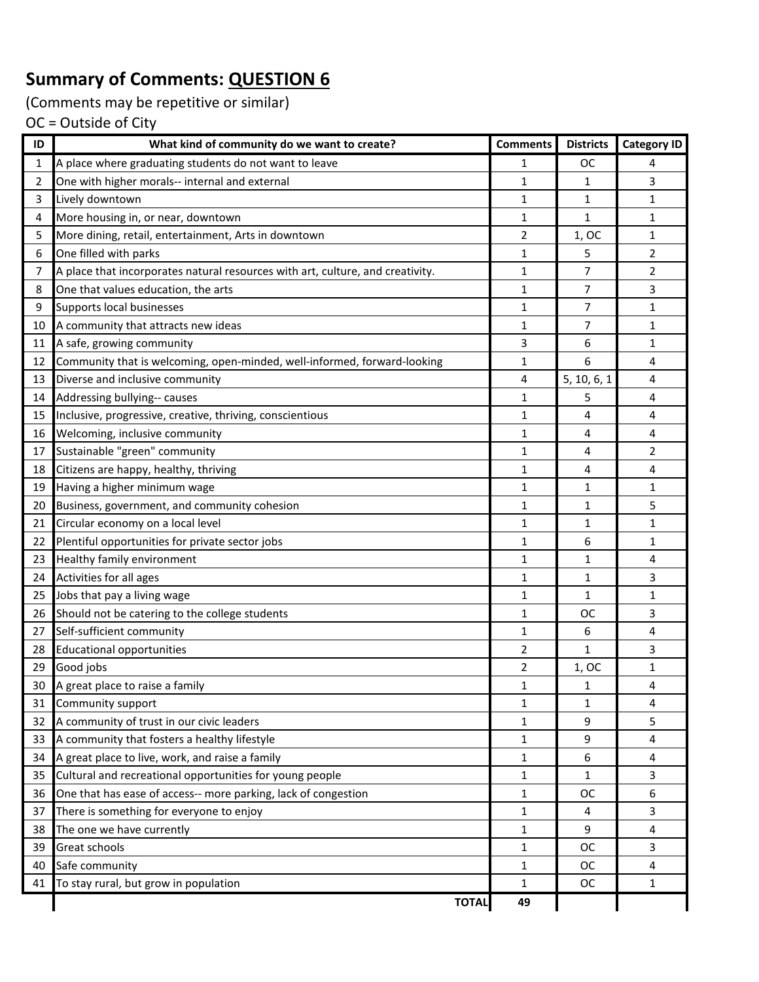(Comments may be repetitive or similar)

| ID | What kind of community do we want to create?                                   | <b>Comments</b> | <b>Districts</b> | <b>Category ID</b>      |
|----|--------------------------------------------------------------------------------|-----------------|------------------|-------------------------|
| 1  | A place where graduating students do not want to leave                         | 1               | <b>OC</b>        | 4                       |
| 2  | One with higher morals-- internal and external                                 | 1               | 1                | $\overline{3}$          |
| 3  | Lively downtown                                                                | 1               | 1                | $\mathbf{1}$            |
| 4  | More housing in, or near, downtown                                             | 1               | 1                | $\mathbf{1}$            |
| 5  | More dining, retail, entertainment, Arts in downtown                           | 2               | 1, OC            | 1                       |
| 6  | One filled with parks                                                          | 1               | 5                | $\overline{2}$          |
| 7  | A place that incorporates natural resources with art, culture, and creativity. | 1               | 7                | $\overline{2}$          |
| 8  | One that values education, the arts                                            | $\mathbf{1}$    | 7                | 3                       |
| 9  | Supports local businesses                                                      | 1               | 7                | $\mathbf{1}$            |
| 10 | A community that attracts new ideas                                            | $\mathbf{1}$    | 7                | 1                       |
| 11 | A safe, growing community                                                      | 3               | 6                | $\mathbf{1}$            |
| 12 | Community that is welcoming, open-minded, well-informed, forward-looking       | $\mathbf{1}$    | 6                | 4                       |
| 13 | Diverse and inclusive community                                                | 4               | 5, 10, 6, 1      | 4                       |
| 14 | Addressing bullying-- causes                                                   | 1               | 5                | 4                       |
| 15 | Inclusive, progressive, creative, thriving, conscientious                      | 1               | 4                | 4                       |
| 16 | Welcoming, inclusive community                                                 | $\mathbf 1$     | 4                | $\overline{\mathbf{4}}$ |
| 17 | Sustainable "green" community                                                  | 1               | 4                | $\overline{2}$          |
| 18 | Citizens are happy, healthy, thriving                                          | 1               | 4                | 4                       |
| 19 | Having a higher minimum wage                                                   | 1               | 1                | $\mathbf{1}$            |
| 20 | Business, government, and community cohesion                                   | 1               | $\mathbf{1}$     | 5                       |
| 21 | Circular economy on a local level                                              | 1               | 1                | $\mathbf{1}$            |
| 22 | Plentiful opportunities for private sector jobs                                | 1               | 6                | $\mathbf{1}$            |
| 23 | Healthy family environment                                                     | 1               | 1                | 4                       |
| 24 | Activities for all ages                                                        | 1               | 1                | $\overline{3}$          |
| 25 | Jobs that pay a living wage                                                    | 1               | $\mathbf{1}$     | $\mathbf{1}$            |
| 26 | Should not be catering to the college students                                 | 1               | ОC               | $\overline{3}$          |
| 27 | Self-sufficient community                                                      | 1               | 6                | 4                       |
| 28 | <b>Educational opportunities</b>                                               | 2               | $\mathbf{1}$     | $\overline{3}$          |
| 29 | Good jobs                                                                      | 2               | 1, OC            | $\mathbf 1$             |
| 30 | A great place to raise a family                                                | $\mathbf{1}$    | 1                | 4                       |
| 31 | Community support                                                              | 1               | $\mathbf{1}$     | $\overline{\mathbf{4}}$ |
| 32 | A community of trust in our civic leaders                                      | 1               | 9                | 5                       |
| 33 | A community that fosters a healthy lifestyle                                   | 1               | 9                | 4                       |
| 34 | A great place to live, work, and raise a family                                | $\mathbf{1}$    | 6                | 4                       |
| 35 | Cultural and recreational opportunities for young people                       | $\mathbf 1$     | 1                | 3                       |
| 36 | One that has ease of access-- more parking, lack of congestion                 | $\mathbf{1}$    | <b>OC</b>        | 6                       |
| 37 | There is something for everyone to enjoy                                       | $\mathbf{1}$    | 4                | $\mathbf{3}$            |
| 38 | The one we have currently                                                      | $\mathbf{1}$    | 9                | $\overline{4}$          |
| 39 | Great schools                                                                  | $\mathbf{1}$    | <b>OC</b>        | 3                       |
| 40 | Safe community                                                                 | 1               | ОC               | 4                       |
| 41 | To stay rural, but grow in population                                          | $\mathbf{1}$    | <b>OC</b>        | $\mathbf 1$             |
|    | <b>TOTAL</b>                                                                   | 49              |                  |                         |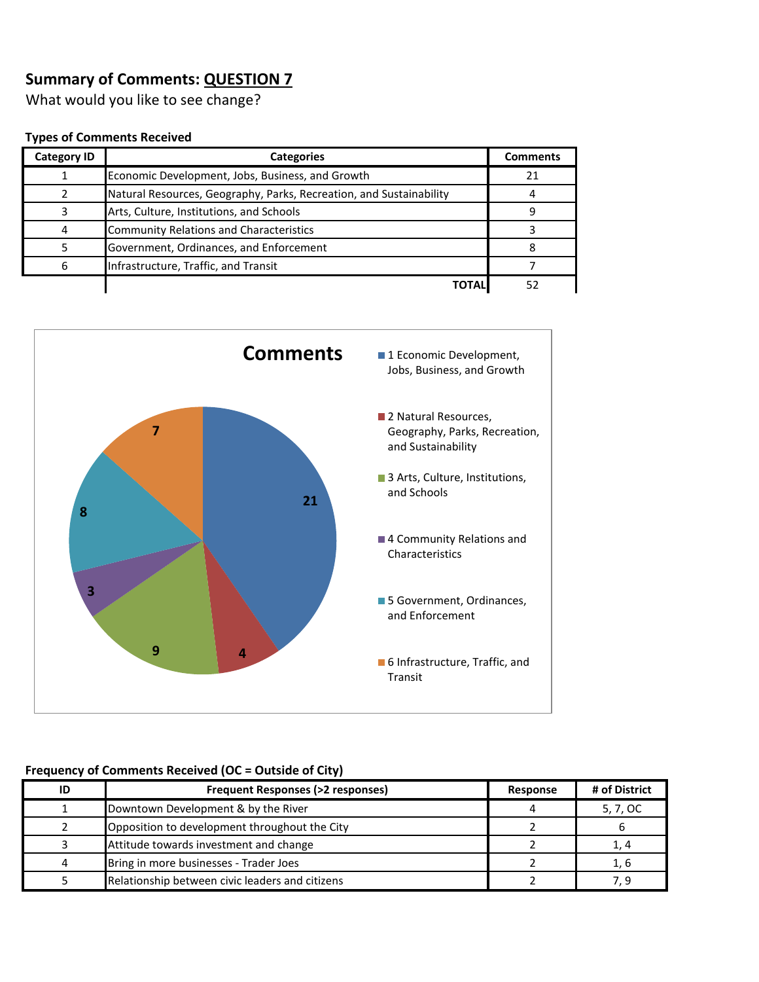What would you like to see change?

#### **Types of Comments Received**

| <b>Category ID</b> | <b>Categories</b>                                                   | <b>Comments</b> |
|--------------------|---------------------------------------------------------------------|-----------------|
|                    | Economic Development, Jobs, Business, and Growth                    | 21              |
|                    | Natural Resources, Geography, Parks, Recreation, and Sustainability |                 |
|                    | Arts, Culture, Institutions, and Schools                            |                 |
|                    | <b>Community Relations and Characteristics</b>                      |                 |
|                    | Government, Ordinances, and Enforcement                             |                 |
| 6                  | Infrastructure, Traffic, and Transit                                |                 |
|                    | ΤΟΤΑΙ                                                               | 52              |



| ID | <b>Frequent Responses (&gt;2 responses)</b>     | Response | # of District |
|----|-------------------------------------------------|----------|---------------|
|    | Downtown Development & by the River             |          | 5, 7, OC      |
|    | Opposition to development throughout the City   |          |               |
|    | Attitude towards investment and change          |          |               |
| 4  | Bring in more businesses - Trader Joes          |          | 1. 6          |
|    | Relationship between civic leaders and citizens |          |               |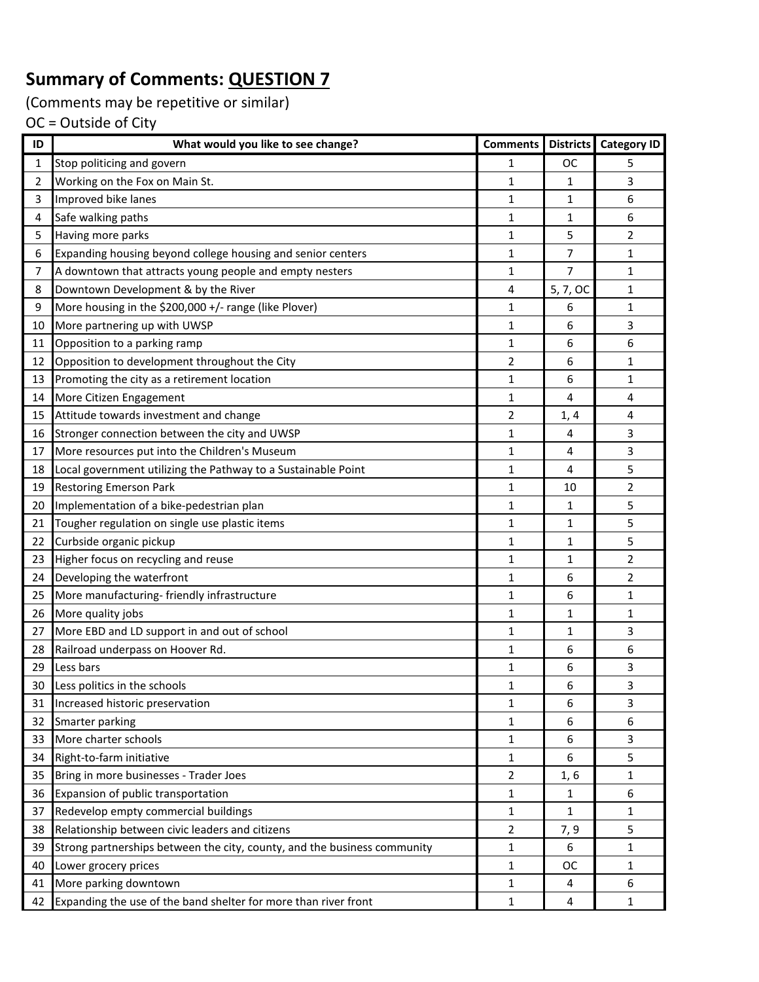(Comments may be repetitive or similar)

| ID | What would you like to see change?                                       | <b>Comments</b> |                | <b>Districts Category ID</b> |
|----|--------------------------------------------------------------------------|-----------------|----------------|------------------------------|
| 1  | Stop politicing and govern                                               | 1               | ОC             | 5                            |
| 2  | Working on the Fox on Main St.                                           | 1               | 1              | 3                            |
| 3  | Improved bike lanes                                                      | 1               | 1              | 6                            |
| 4  | Safe walking paths                                                       | $\mathbf{1}$    | 1              | 6                            |
| 5  | Having more parks                                                        | $\mathbf{1}$    | 5              | $\overline{2}$               |
| 6  | Expanding housing beyond college housing and senior centers              | 1               | 7              | 1                            |
| 7  | A downtown that attracts young people and empty nesters                  | 1               | $\overline{7}$ | 1                            |
| 8  | Downtown Development & by the River                                      | 4               | 5, 7, OC       | 1                            |
| 9  | More housing in the \$200,000 +/- range (like Plover)                    | 1               | 6              | 1                            |
| 10 | More partnering up with UWSP                                             | $\mathbf{1}$    | 6              | $\overline{3}$               |
| 11 | Opposition to a parking ramp                                             | $\mathbf{1}$    | 6              | 6                            |
| 12 | Opposition to development throughout the City                            | 2               | 6              | 1                            |
| 13 | Promoting the city as a retirement location                              | $\mathbf{1}$    | 6              | 1                            |
| 14 | More Citizen Engagement                                                  | $\mathbf{1}$    | 4              | 4                            |
| 15 | Attitude towards investment and change                                   | 2               | 1, 4           | 4                            |
| 16 | Stronger connection between the city and UWSP                            | 1               | 4              | 3                            |
| 17 | More resources put into the Children's Museum                            | $\mathbf{1}$    | 4              | $\mathbf{3}$                 |
| 18 | Local government utilizing the Pathway to a Sustainable Point            | 1               | 4              | 5                            |
| 19 | <b>Restoring Emerson Park</b>                                            | 1               | 10             | $\overline{2}$               |
| 20 | Implementation of a bike-pedestrian plan                                 | $\mathbf{1}$    | 1              | 5                            |
| 21 | Tougher regulation on single use plastic items                           | 1               | 1              | 5                            |
| 22 | Curbside organic pickup                                                  | 1               | $\mathbf{1}$   | 5                            |
| 23 | Higher focus on recycling and reuse                                      | $\mathbf{1}$    | 1              | $\overline{2}$               |
| 24 | Developing the waterfront                                                | 1               | 6              | $\overline{2}$               |
| 25 | More manufacturing-friendly infrastructure                               | 1               | 6              | 1                            |
| 26 | More quality jobs                                                        | $\mathbf{1}$    | 1              | 1                            |
| 27 | More EBD and LD support in and out of school                             | 1               | 1              | 3                            |
| 28 | Railroad underpass on Hoover Rd.                                         | 1               | 6              | 6                            |
| 29 | Less bars                                                                | 1               | 6              | 3                            |
| 30 | Less politics in the schools                                             | 1               | 6              | 3                            |
| 31 | Increased historic preservation                                          | 1               | 6              | 3                            |
| 32 | Smarter parking                                                          | $\mathbf{1}$    | 6              | 6                            |
| 33 | More charter schools                                                     | 1               | 6              | 3                            |
| 34 | Right-to-farm initiative                                                 | $\mathbf{1}$    | 6              | 5                            |
| 35 | Bring in more businesses - Trader Joes                                   | 2               | 1,6            | 1                            |
| 36 | Expansion of public transportation                                       | 1               | $\mathbf{1}$   | 6                            |
| 37 | Redevelop empty commercial buildings                                     | 1               | $\mathbf{1}$   | $\mathbf{1}$                 |
| 38 | Relationship between civic leaders and citizens                          | $\overline{2}$  | 7, 9           | 5                            |
| 39 | Strong partnerships between the city, county, and the business community | $\mathbf{1}$    | 6              | $\mathbf{1}$                 |
| 40 | Lower grocery prices                                                     | 1               | ОC             | 1                            |
| 41 | More parking downtown                                                    | 1               | 4              | 6                            |
| 42 | Expanding the use of the band shelter for more than river front          | 1               | 4              | $\mathbf{1}$                 |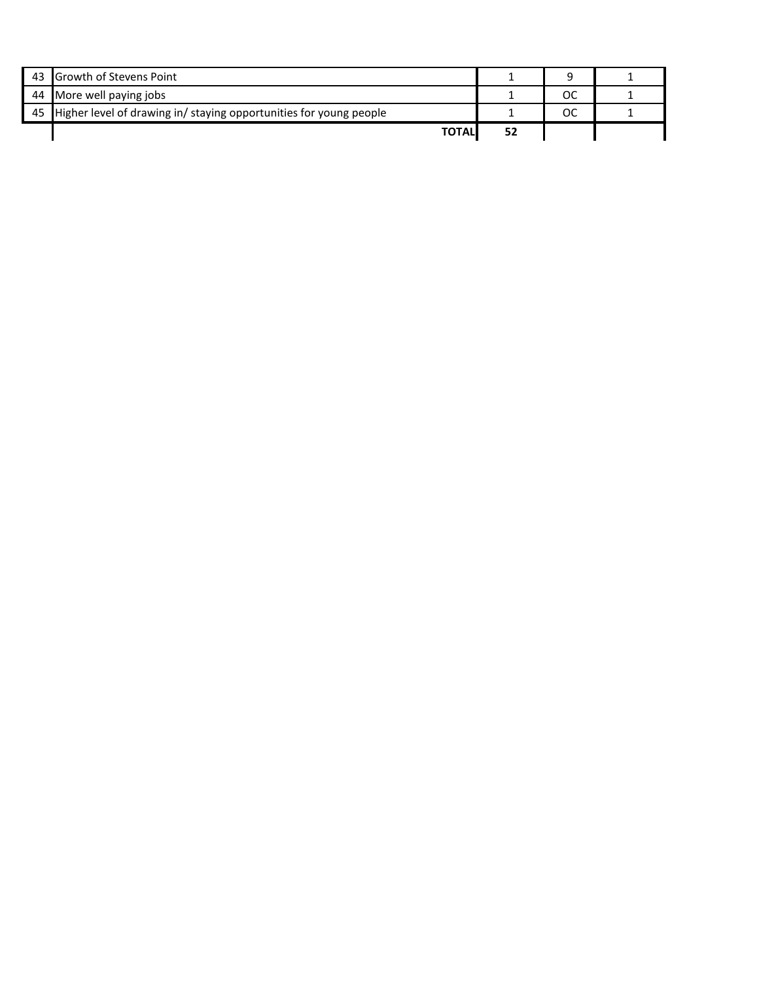| 43 Growth of Stevens Point                                            |    |  |
|-----------------------------------------------------------------------|----|--|
| 44 More well paying jobs                                              | ОC |  |
| 45 Higher level of drawing in/ staying opportunities for young people | ос |  |
| <b>TOTAL</b>                                                          |    |  |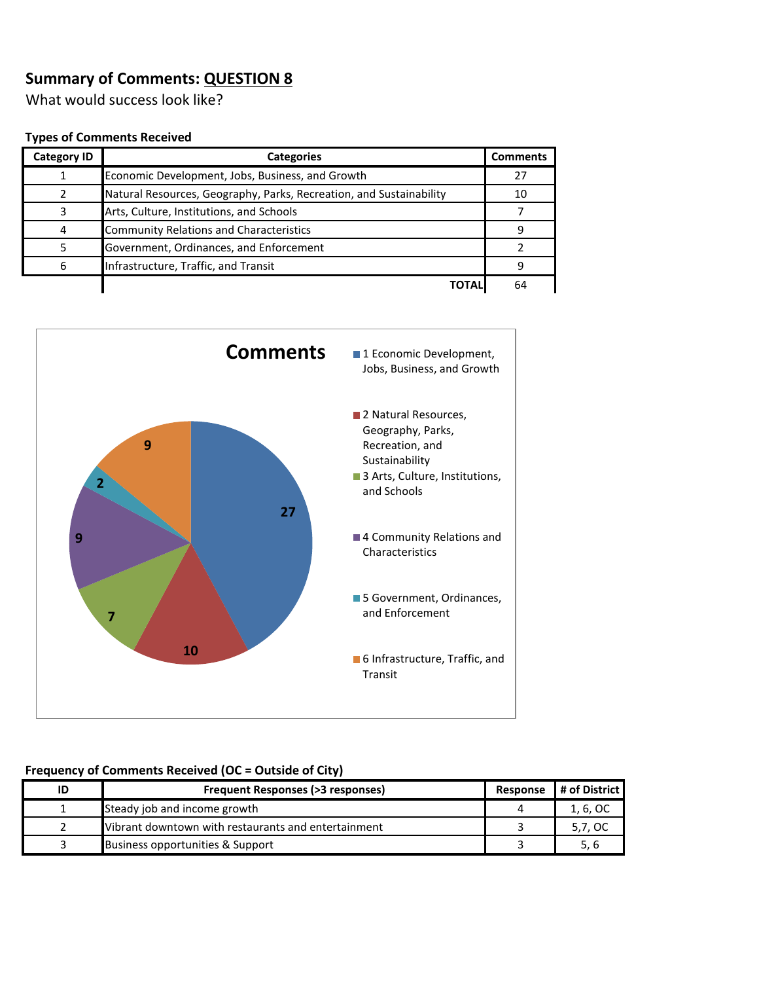What would success look like?

#### **Types of Comments Received**

| <b>Category ID</b> | <b>Categories</b>                                                   | <b>Comments</b> |
|--------------------|---------------------------------------------------------------------|-----------------|
|                    | Economic Development, Jobs, Business, and Growth                    | 27              |
|                    | Natural Resources, Geography, Parks, Recreation, and Sustainability | 10              |
| ર                  | Arts, Culture, Institutions, and Schools                            |                 |
| 4                  | <b>Community Relations and Characteristics</b>                      | q               |
|                    | Government, Ordinances, and Enforcement                             |                 |
| 6                  | Infrastructure, Traffic, and Transit                                |                 |
|                    | <b>TOTAL</b>                                                        | 64              |



| ID | Frequent Responses (>3 responses)                   | Response | # of District |
|----|-----------------------------------------------------|----------|---------------|
|    | Steady job and income growth                        |          | 1, 6, OC      |
|    | Vibrant downtown with restaurants and entertainment |          | 5,7, OC       |
|    | Business opportunities & Support                    |          | 5, 6          |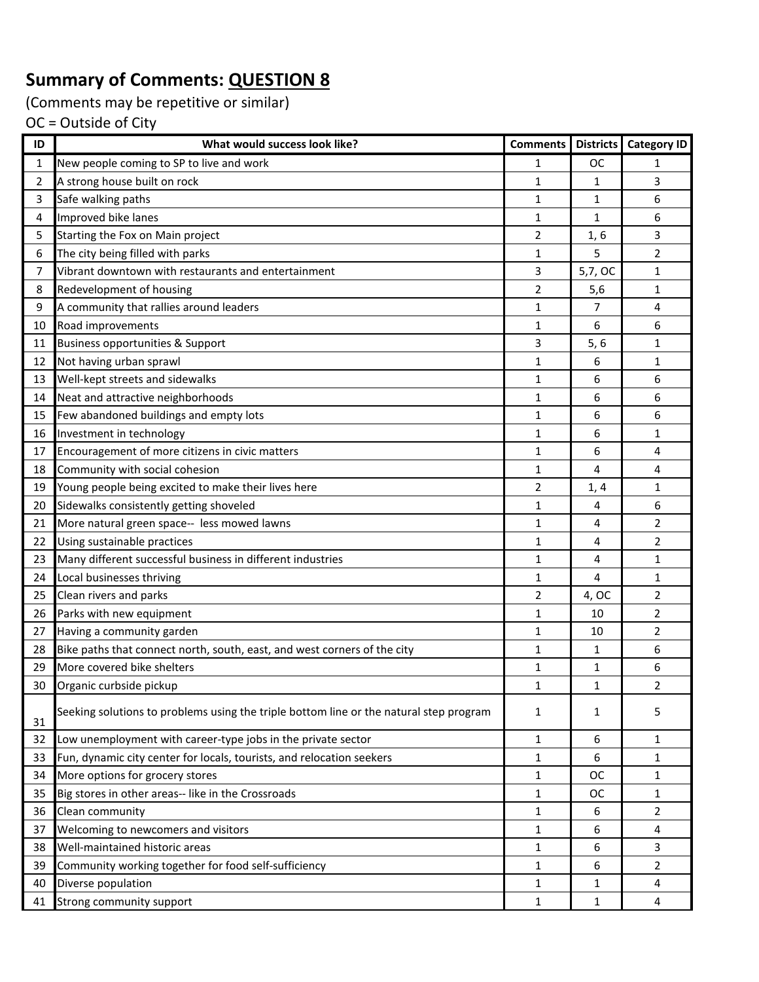(Comments may be repetitive or similar)

| $\mathbf{1}$<br>New people coming to SP to live and work<br>ОC<br>1<br>1<br>$\overline{2}$<br>3<br>A strong house built on rock<br>1<br>1<br>Safe walking paths<br>3<br>$\mathbf{1}$<br>6<br>1<br>Improved bike lanes<br>4<br>$\mathbf{1}$<br>1<br>6<br>5<br>Starting the Fox on Main project<br>$\overline{2}$<br>3<br>1, 6<br>The city being filled with parks<br>5<br>2<br>6<br>1<br>Vibrant downtown with restaurants and entertainment<br>7<br>3<br>1<br>5,7, OC<br>$\overline{2}$<br>8<br>Redevelopment of housing<br>5,6<br>1<br>9<br>A community that rallies around leaders<br>$\mathbf{1}$<br>4<br>7<br>Road improvements<br>6<br>10<br>$\mathbf{1}$<br>6<br><b>Business opportunities &amp; Support</b><br>3<br>5,6<br>1<br>11<br>$\mathbf{1}$<br>12<br>Not having urban sprawl<br>6<br>1<br>Well-kept streets and sidewalks<br>13<br>1<br>6<br>6<br>Neat and attractive neighborhoods<br>6<br>14<br>1<br>6<br>Few abandoned buildings and empty lots<br>$\mathbf{1}$<br>6<br>6<br>15<br>16<br>Investment in technology<br>1<br>6<br>1<br>Encouragement of more citizens in civic matters<br>17<br>1<br>6<br>4<br>Community with social cohesion<br>$\mathbf{1}$<br>4<br>4<br>18<br>Young people being excited to make their lives here<br>19<br>2<br>1<br>1, 4<br>Sidewalks consistently getting shoveled<br>20<br>1<br>6<br>4<br>More natural green space-- less mowed lawns<br>2<br>21<br>1<br>4<br>Using sustainable practices<br>$\mathbf{1}$<br>2<br>22<br>4<br>Many different successful business in different industries<br>23<br>1<br>4<br>1<br>Local businesses thriving<br>24<br>1<br>4<br>1<br>2<br>25<br>Clean rivers and parks<br>2<br>4, OC<br>Parks with new equipment<br>$\overline{2}$<br>26<br>1<br>10<br>$\overline{2}$<br>27<br>Having a community garden<br>1<br>10<br>Bike paths that connect north, south, east, and west corners of the city<br>28<br>6<br>1<br>1<br>More covered bike shelters<br>29<br>1<br>1<br>6<br>30<br>Organic curbside pickup<br>$\mathbf{1}$<br>1<br>2<br>Seeking solutions to problems using the triple bottom line or the natural step program<br>5<br>1<br>1<br>31<br>32<br>Low unemployment with career-type jobs in the private sector<br>6<br>1<br>1<br>Fun, dynamic city center for locals, tourists, and relocation seekers<br>6<br>33<br>1<br>1<br>More options for grocery stores<br>34<br>1<br>ОC<br>1<br>Big stores in other areas-- like in the Crossroads<br>1<br>OC<br>35<br>1<br>$\mathbf{1}$<br>$\overline{2}$<br>Clean community<br>6<br>36<br>4<br>37<br>Welcoming to newcomers and visitors<br>1<br>6<br>Well-maintained historic areas<br>38<br>6<br>3<br>1<br>39<br>Community working together for food self-sufficiency<br>6<br>2<br>1<br>Diverse population<br>40<br>4<br>1<br>1<br>Strong community support<br>1<br>4<br>41<br>1 | ID | What would success look like? | <b>Comments</b> | Districts Category ID |
|------------------------------------------------------------------------------------------------------------------------------------------------------------------------------------------------------------------------------------------------------------------------------------------------------------------------------------------------------------------------------------------------------------------------------------------------------------------------------------------------------------------------------------------------------------------------------------------------------------------------------------------------------------------------------------------------------------------------------------------------------------------------------------------------------------------------------------------------------------------------------------------------------------------------------------------------------------------------------------------------------------------------------------------------------------------------------------------------------------------------------------------------------------------------------------------------------------------------------------------------------------------------------------------------------------------------------------------------------------------------------------------------------------------------------------------------------------------------------------------------------------------------------------------------------------------------------------------------------------------------------------------------------------------------------------------------------------------------------------------------------------------------------------------------------------------------------------------------------------------------------------------------------------------------------------------------------------------------------------------------------------------------------------------------------------------------------------------------------------------------------------------------------------------------------------------------------------------------------------------------------------------------------------------------------------------------------------------------------------------------------------------------------------------------------------------------------------------------------------------------------------------------------------------------------------------------------------------------------------------------------------------------------------------------------------------------------------------------------------------------------------------------------------------------------------------------|----|-------------------------------|-----------------|-----------------------|
|                                                                                                                                                                                                                                                                                                                                                                                                                                                                                                                                                                                                                                                                                                                                                                                                                                                                                                                                                                                                                                                                                                                                                                                                                                                                                                                                                                                                                                                                                                                                                                                                                                                                                                                                                                                                                                                                                                                                                                                                                                                                                                                                                                                                                                                                                                                                                                                                                                                                                                                                                                                                                                                                                                                                                                                                                        |    |                               |                 |                       |
|                                                                                                                                                                                                                                                                                                                                                                                                                                                                                                                                                                                                                                                                                                                                                                                                                                                                                                                                                                                                                                                                                                                                                                                                                                                                                                                                                                                                                                                                                                                                                                                                                                                                                                                                                                                                                                                                                                                                                                                                                                                                                                                                                                                                                                                                                                                                                                                                                                                                                                                                                                                                                                                                                                                                                                                                                        |    |                               |                 |                       |
|                                                                                                                                                                                                                                                                                                                                                                                                                                                                                                                                                                                                                                                                                                                                                                                                                                                                                                                                                                                                                                                                                                                                                                                                                                                                                                                                                                                                                                                                                                                                                                                                                                                                                                                                                                                                                                                                                                                                                                                                                                                                                                                                                                                                                                                                                                                                                                                                                                                                                                                                                                                                                                                                                                                                                                                                                        |    |                               |                 |                       |
|                                                                                                                                                                                                                                                                                                                                                                                                                                                                                                                                                                                                                                                                                                                                                                                                                                                                                                                                                                                                                                                                                                                                                                                                                                                                                                                                                                                                                                                                                                                                                                                                                                                                                                                                                                                                                                                                                                                                                                                                                                                                                                                                                                                                                                                                                                                                                                                                                                                                                                                                                                                                                                                                                                                                                                                                                        |    |                               |                 |                       |
|                                                                                                                                                                                                                                                                                                                                                                                                                                                                                                                                                                                                                                                                                                                                                                                                                                                                                                                                                                                                                                                                                                                                                                                                                                                                                                                                                                                                                                                                                                                                                                                                                                                                                                                                                                                                                                                                                                                                                                                                                                                                                                                                                                                                                                                                                                                                                                                                                                                                                                                                                                                                                                                                                                                                                                                                                        |    |                               |                 |                       |
|                                                                                                                                                                                                                                                                                                                                                                                                                                                                                                                                                                                                                                                                                                                                                                                                                                                                                                                                                                                                                                                                                                                                                                                                                                                                                                                                                                                                                                                                                                                                                                                                                                                                                                                                                                                                                                                                                                                                                                                                                                                                                                                                                                                                                                                                                                                                                                                                                                                                                                                                                                                                                                                                                                                                                                                                                        |    |                               |                 |                       |
|                                                                                                                                                                                                                                                                                                                                                                                                                                                                                                                                                                                                                                                                                                                                                                                                                                                                                                                                                                                                                                                                                                                                                                                                                                                                                                                                                                                                                                                                                                                                                                                                                                                                                                                                                                                                                                                                                                                                                                                                                                                                                                                                                                                                                                                                                                                                                                                                                                                                                                                                                                                                                                                                                                                                                                                                                        |    |                               |                 |                       |
|                                                                                                                                                                                                                                                                                                                                                                                                                                                                                                                                                                                                                                                                                                                                                                                                                                                                                                                                                                                                                                                                                                                                                                                                                                                                                                                                                                                                                                                                                                                                                                                                                                                                                                                                                                                                                                                                                                                                                                                                                                                                                                                                                                                                                                                                                                                                                                                                                                                                                                                                                                                                                                                                                                                                                                                                                        |    |                               |                 |                       |
|                                                                                                                                                                                                                                                                                                                                                                                                                                                                                                                                                                                                                                                                                                                                                                                                                                                                                                                                                                                                                                                                                                                                                                                                                                                                                                                                                                                                                                                                                                                                                                                                                                                                                                                                                                                                                                                                                                                                                                                                                                                                                                                                                                                                                                                                                                                                                                                                                                                                                                                                                                                                                                                                                                                                                                                                                        |    |                               |                 |                       |
|                                                                                                                                                                                                                                                                                                                                                                                                                                                                                                                                                                                                                                                                                                                                                                                                                                                                                                                                                                                                                                                                                                                                                                                                                                                                                                                                                                                                                                                                                                                                                                                                                                                                                                                                                                                                                                                                                                                                                                                                                                                                                                                                                                                                                                                                                                                                                                                                                                                                                                                                                                                                                                                                                                                                                                                                                        |    |                               |                 |                       |
|                                                                                                                                                                                                                                                                                                                                                                                                                                                                                                                                                                                                                                                                                                                                                                                                                                                                                                                                                                                                                                                                                                                                                                                                                                                                                                                                                                                                                                                                                                                                                                                                                                                                                                                                                                                                                                                                                                                                                                                                                                                                                                                                                                                                                                                                                                                                                                                                                                                                                                                                                                                                                                                                                                                                                                                                                        |    |                               |                 |                       |
|                                                                                                                                                                                                                                                                                                                                                                                                                                                                                                                                                                                                                                                                                                                                                                                                                                                                                                                                                                                                                                                                                                                                                                                                                                                                                                                                                                                                                                                                                                                                                                                                                                                                                                                                                                                                                                                                                                                                                                                                                                                                                                                                                                                                                                                                                                                                                                                                                                                                                                                                                                                                                                                                                                                                                                                                                        |    |                               |                 |                       |
|                                                                                                                                                                                                                                                                                                                                                                                                                                                                                                                                                                                                                                                                                                                                                                                                                                                                                                                                                                                                                                                                                                                                                                                                                                                                                                                                                                                                                                                                                                                                                                                                                                                                                                                                                                                                                                                                                                                                                                                                                                                                                                                                                                                                                                                                                                                                                                                                                                                                                                                                                                                                                                                                                                                                                                                                                        |    |                               |                 |                       |
|                                                                                                                                                                                                                                                                                                                                                                                                                                                                                                                                                                                                                                                                                                                                                                                                                                                                                                                                                                                                                                                                                                                                                                                                                                                                                                                                                                                                                                                                                                                                                                                                                                                                                                                                                                                                                                                                                                                                                                                                                                                                                                                                                                                                                                                                                                                                                                                                                                                                                                                                                                                                                                                                                                                                                                                                                        |    |                               |                 |                       |
|                                                                                                                                                                                                                                                                                                                                                                                                                                                                                                                                                                                                                                                                                                                                                                                                                                                                                                                                                                                                                                                                                                                                                                                                                                                                                                                                                                                                                                                                                                                                                                                                                                                                                                                                                                                                                                                                                                                                                                                                                                                                                                                                                                                                                                                                                                                                                                                                                                                                                                                                                                                                                                                                                                                                                                                                                        |    |                               |                 |                       |
|                                                                                                                                                                                                                                                                                                                                                                                                                                                                                                                                                                                                                                                                                                                                                                                                                                                                                                                                                                                                                                                                                                                                                                                                                                                                                                                                                                                                                                                                                                                                                                                                                                                                                                                                                                                                                                                                                                                                                                                                                                                                                                                                                                                                                                                                                                                                                                                                                                                                                                                                                                                                                                                                                                                                                                                                                        |    |                               |                 |                       |
|                                                                                                                                                                                                                                                                                                                                                                                                                                                                                                                                                                                                                                                                                                                                                                                                                                                                                                                                                                                                                                                                                                                                                                                                                                                                                                                                                                                                                                                                                                                                                                                                                                                                                                                                                                                                                                                                                                                                                                                                                                                                                                                                                                                                                                                                                                                                                                                                                                                                                                                                                                                                                                                                                                                                                                                                                        |    |                               |                 |                       |
|                                                                                                                                                                                                                                                                                                                                                                                                                                                                                                                                                                                                                                                                                                                                                                                                                                                                                                                                                                                                                                                                                                                                                                                                                                                                                                                                                                                                                                                                                                                                                                                                                                                                                                                                                                                                                                                                                                                                                                                                                                                                                                                                                                                                                                                                                                                                                                                                                                                                                                                                                                                                                                                                                                                                                                                                                        |    |                               |                 |                       |
|                                                                                                                                                                                                                                                                                                                                                                                                                                                                                                                                                                                                                                                                                                                                                                                                                                                                                                                                                                                                                                                                                                                                                                                                                                                                                                                                                                                                                                                                                                                                                                                                                                                                                                                                                                                                                                                                                                                                                                                                                                                                                                                                                                                                                                                                                                                                                                                                                                                                                                                                                                                                                                                                                                                                                                                                                        |    |                               |                 |                       |
|                                                                                                                                                                                                                                                                                                                                                                                                                                                                                                                                                                                                                                                                                                                                                                                                                                                                                                                                                                                                                                                                                                                                                                                                                                                                                                                                                                                                                                                                                                                                                                                                                                                                                                                                                                                                                                                                                                                                                                                                                                                                                                                                                                                                                                                                                                                                                                                                                                                                                                                                                                                                                                                                                                                                                                                                                        |    |                               |                 |                       |
|                                                                                                                                                                                                                                                                                                                                                                                                                                                                                                                                                                                                                                                                                                                                                                                                                                                                                                                                                                                                                                                                                                                                                                                                                                                                                                                                                                                                                                                                                                                                                                                                                                                                                                                                                                                                                                                                                                                                                                                                                                                                                                                                                                                                                                                                                                                                                                                                                                                                                                                                                                                                                                                                                                                                                                                                                        |    |                               |                 |                       |
|                                                                                                                                                                                                                                                                                                                                                                                                                                                                                                                                                                                                                                                                                                                                                                                                                                                                                                                                                                                                                                                                                                                                                                                                                                                                                                                                                                                                                                                                                                                                                                                                                                                                                                                                                                                                                                                                                                                                                                                                                                                                                                                                                                                                                                                                                                                                                                                                                                                                                                                                                                                                                                                                                                                                                                                                                        |    |                               |                 |                       |
|                                                                                                                                                                                                                                                                                                                                                                                                                                                                                                                                                                                                                                                                                                                                                                                                                                                                                                                                                                                                                                                                                                                                                                                                                                                                                                                                                                                                                                                                                                                                                                                                                                                                                                                                                                                                                                                                                                                                                                                                                                                                                                                                                                                                                                                                                                                                                                                                                                                                                                                                                                                                                                                                                                                                                                                                                        |    |                               |                 |                       |
|                                                                                                                                                                                                                                                                                                                                                                                                                                                                                                                                                                                                                                                                                                                                                                                                                                                                                                                                                                                                                                                                                                                                                                                                                                                                                                                                                                                                                                                                                                                                                                                                                                                                                                                                                                                                                                                                                                                                                                                                                                                                                                                                                                                                                                                                                                                                                                                                                                                                                                                                                                                                                                                                                                                                                                                                                        |    |                               |                 |                       |
|                                                                                                                                                                                                                                                                                                                                                                                                                                                                                                                                                                                                                                                                                                                                                                                                                                                                                                                                                                                                                                                                                                                                                                                                                                                                                                                                                                                                                                                                                                                                                                                                                                                                                                                                                                                                                                                                                                                                                                                                                                                                                                                                                                                                                                                                                                                                                                                                                                                                                                                                                                                                                                                                                                                                                                                                                        |    |                               |                 |                       |
|                                                                                                                                                                                                                                                                                                                                                                                                                                                                                                                                                                                                                                                                                                                                                                                                                                                                                                                                                                                                                                                                                                                                                                                                                                                                                                                                                                                                                                                                                                                                                                                                                                                                                                                                                                                                                                                                                                                                                                                                                                                                                                                                                                                                                                                                                                                                                                                                                                                                                                                                                                                                                                                                                                                                                                                                                        |    |                               |                 |                       |
|                                                                                                                                                                                                                                                                                                                                                                                                                                                                                                                                                                                                                                                                                                                                                                                                                                                                                                                                                                                                                                                                                                                                                                                                                                                                                                                                                                                                                                                                                                                                                                                                                                                                                                                                                                                                                                                                                                                                                                                                                                                                                                                                                                                                                                                                                                                                                                                                                                                                                                                                                                                                                                                                                                                                                                                                                        |    |                               |                 |                       |
|                                                                                                                                                                                                                                                                                                                                                                                                                                                                                                                                                                                                                                                                                                                                                                                                                                                                                                                                                                                                                                                                                                                                                                                                                                                                                                                                                                                                                                                                                                                                                                                                                                                                                                                                                                                                                                                                                                                                                                                                                                                                                                                                                                                                                                                                                                                                                                                                                                                                                                                                                                                                                                                                                                                                                                                                                        |    |                               |                 |                       |
|                                                                                                                                                                                                                                                                                                                                                                                                                                                                                                                                                                                                                                                                                                                                                                                                                                                                                                                                                                                                                                                                                                                                                                                                                                                                                                                                                                                                                                                                                                                                                                                                                                                                                                                                                                                                                                                                                                                                                                                                                                                                                                                                                                                                                                                                                                                                                                                                                                                                                                                                                                                                                                                                                                                                                                                                                        |    |                               |                 |                       |
|                                                                                                                                                                                                                                                                                                                                                                                                                                                                                                                                                                                                                                                                                                                                                                                                                                                                                                                                                                                                                                                                                                                                                                                                                                                                                                                                                                                                                                                                                                                                                                                                                                                                                                                                                                                                                                                                                                                                                                                                                                                                                                                                                                                                                                                                                                                                                                                                                                                                                                                                                                                                                                                                                                                                                                                                                        |    |                               |                 |                       |
|                                                                                                                                                                                                                                                                                                                                                                                                                                                                                                                                                                                                                                                                                                                                                                                                                                                                                                                                                                                                                                                                                                                                                                                                                                                                                                                                                                                                                                                                                                                                                                                                                                                                                                                                                                                                                                                                                                                                                                                                                                                                                                                                                                                                                                                                                                                                                                                                                                                                                                                                                                                                                                                                                                                                                                                                                        |    |                               |                 |                       |
|                                                                                                                                                                                                                                                                                                                                                                                                                                                                                                                                                                                                                                                                                                                                                                                                                                                                                                                                                                                                                                                                                                                                                                                                                                                                                                                                                                                                                                                                                                                                                                                                                                                                                                                                                                                                                                                                                                                                                                                                                                                                                                                                                                                                                                                                                                                                                                                                                                                                                                                                                                                                                                                                                                                                                                                                                        |    |                               |                 |                       |
|                                                                                                                                                                                                                                                                                                                                                                                                                                                                                                                                                                                                                                                                                                                                                                                                                                                                                                                                                                                                                                                                                                                                                                                                                                                                                                                                                                                                                                                                                                                                                                                                                                                                                                                                                                                                                                                                                                                                                                                                                                                                                                                                                                                                                                                                                                                                                                                                                                                                                                                                                                                                                                                                                                                                                                                                                        |    |                               |                 |                       |
|                                                                                                                                                                                                                                                                                                                                                                                                                                                                                                                                                                                                                                                                                                                                                                                                                                                                                                                                                                                                                                                                                                                                                                                                                                                                                                                                                                                                                                                                                                                                                                                                                                                                                                                                                                                                                                                                                                                                                                                                                                                                                                                                                                                                                                                                                                                                                                                                                                                                                                                                                                                                                                                                                                                                                                                                                        |    |                               |                 |                       |
|                                                                                                                                                                                                                                                                                                                                                                                                                                                                                                                                                                                                                                                                                                                                                                                                                                                                                                                                                                                                                                                                                                                                                                                                                                                                                                                                                                                                                                                                                                                                                                                                                                                                                                                                                                                                                                                                                                                                                                                                                                                                                                                                                                                                                                                                                                                                                                                                                                                                                                                                                                                                                                                                                                                                                                                                                        |    |                               |                 |                       |
|                                                                                                                                                                                                                                                                                                                                                                                                                                                                                                                                                                                                                                                                                                                                                                                                                                                                                                                                                                                                                                                                                                                                                                                                                                                                                                                                                                                                                                                                                                                                                                                                                                                                                                                                                                                                                                                                                                                                                                                                                                                                                                                                                                                                                                                                                                                                                                                                                                                                                                                                                                                                                                                                                                                                                                                                                        |    |                               |                 |                       |
|                                                                                                                                                                                                                                                                                                                                                                                                                                                                                                                                                                                                                                                                                                                                                                                                                                                                                                                                                                                                                                                                                                                                                                                                                                                                                                                                                                                                                                                                                                                                                                                                                                                                                                                                                                                                                                                                                                                                                                                                                                                                                                                                                                                                                                                                                                                                                                                                                                                                                                                                                                                                                                                                                                                                                                                                                        |    |                               |                 |                       |
|                                                                                                                                                                                                                                                                                                                                                                                                                                                                                                                                                                                                                                                                                                                                                                                                                                                                                                                                                                                                                                                                                                                                                                                                                                                                                                                                                                                                                                                                                                                                                                                                                                                                                                                                                                                                                                                                                                                                                                                                                                                                                                                                                                                                                                                                                                                                                                                                                                                                                                                                                                                                                                                                                                                                                                                                                        |    |                               |                 |                       |
|                                                                                                                                                                                                                                                                                                                                                                                                                                                                                                                                                                                                                                                                                                                                                                                                                                                                                                                                                                                                                                                                                                                                                                                                                                                                                                                                                                                                                                                                                                                                                                                                                                                                                                                                                                                                                                                                                                                                                                                                                                                                                                                                                                                                                                                                                                                                                                                                                                                                                                                                                                                                                                                                                                                                                                                                                        |    |                               |                 |                       |
|                                                                                                                                                                                                                                                                                                                                                                                                                                                                                                                                                                                                                                                                                                                                                                                                                                                                                                                                                                                                                                                                                                                                                                                                                                                                                                                                                                                                                                                                                                                                                                                                                                                                                                                                                                                                                                                                                                                                                                                                                                                                                                                                                                                                                                                                                                                                                                                                                                                                                                                                                                                                                                                                                                                                                                                                                        |    |                               |                 |                       |
|                                                                                                                                                                                                                                                                                                                                                                                                                                                                                                                                                                                                                                                                                                                                                                                                                                                                                                                                                                                                                                                                                                                                                                                                                                                                                                                                                                                                                                                                                                                                                                                                                                                                                                                                                                                                                                                                                                                                                                                                                                                                                                                                                                                                                                                                                                                                                                                                                                                                                                                                                                                                                                                                                                                                                                                                                        |    |                               |                 |                       |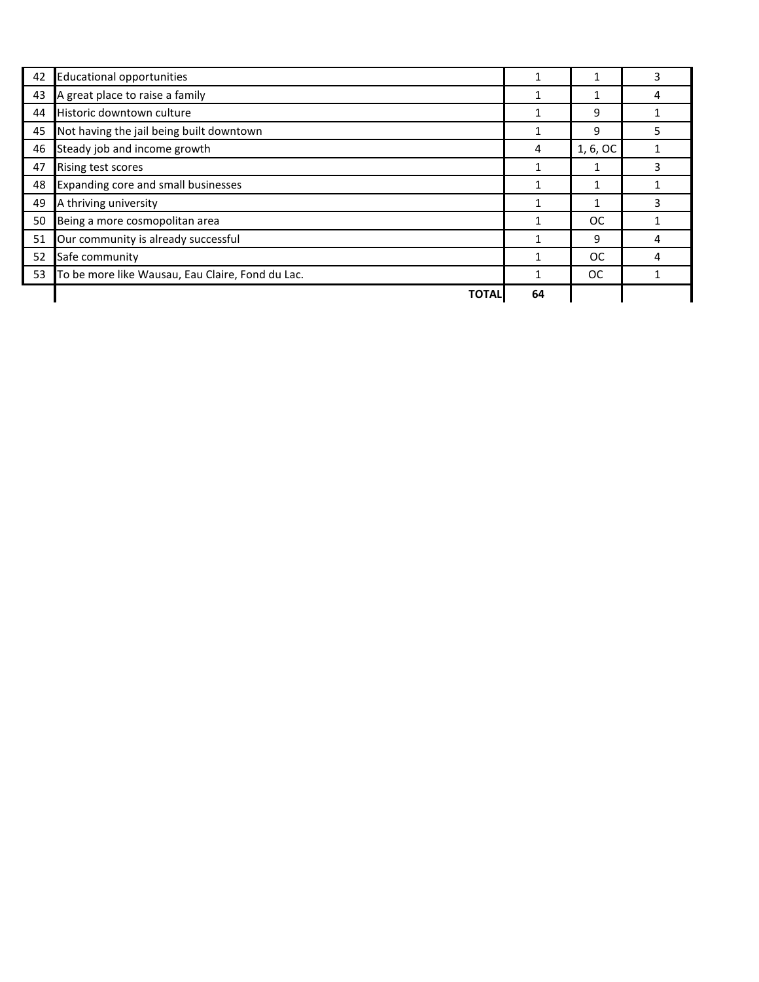| 42 | <b>Educational opportunities</b>                 | 1  |           | 3 |
|----|--------------------------------------------------|----|-----------|---|
| 43 | A great place to raise a family                  | 1  |           |   |
| 44 | Historic downtown culture                        |    | 9         |   |
| 45 | Not having the jail being built downtown         |    | 9         |   |
| 46 | Steady job and income growth                     | 4  | 1, 6, OC  |   |
| 47 | Rising test scores                               |    |           | 3 |
| 48 | Expanding core and small businesses              |    |           |   |
| 49 | A thriving university                            | 1  |           | 3 |
| 50 | Being a more cosmopolitan area                   |    | <b>OC</b> |   |
| 51 | Our community is already successful              |    | 9         |   |
| 52 | Safe community                                   | 1  | <b>OC</b> |   |
| 53 | To be more like Wausau, Eau Claire, Fond du Lac. |    | ОC        |   |
|    | <b>TOTAI</b>                                     | 64 |           |   |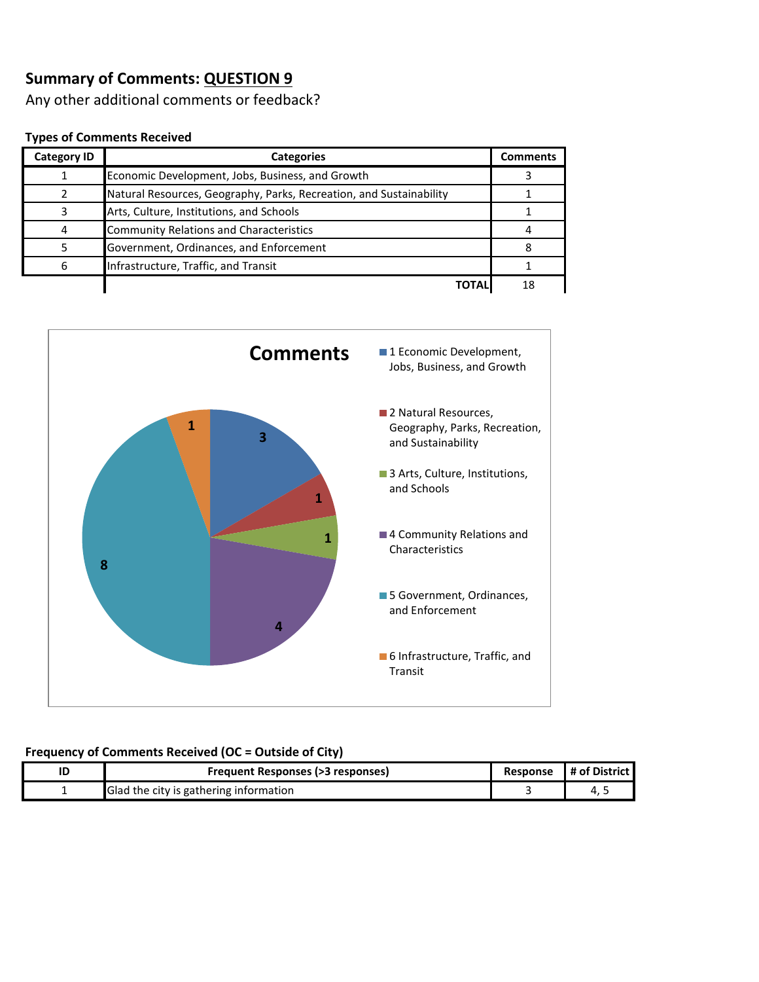Any other additional comments or feedback?

#### **Types of Comments Received**

| <b>Category ID</b> | <b>Categories</b>                                                   | <b>Comments</b> |
|--------------------|---------------------------------------------------------------------|-----------------|
|                    | Economic Development, Jobs, Business, and Growth                    |                 |
|                    | Natural Resources, Geography, Parks, Recreation, and Sustainability |                 |
|                    | Arts, Culture, Institutions, and Schools                            |                 |
|                    | <b>Community Relations and Characteristics</b>                      |                 |
|                    | Government, Ordinances, and Enforcement                             |                 |
| 6                  | Infrastructure, Traffic, and Transit                                |                 |
|                    | TOTAL                                                               | 18              |



| Frequent Responses (>3 responses)      | Response | # of District |
|----------------------------------------|----------|---------------|
| Glad the city is gathering information |          |               |